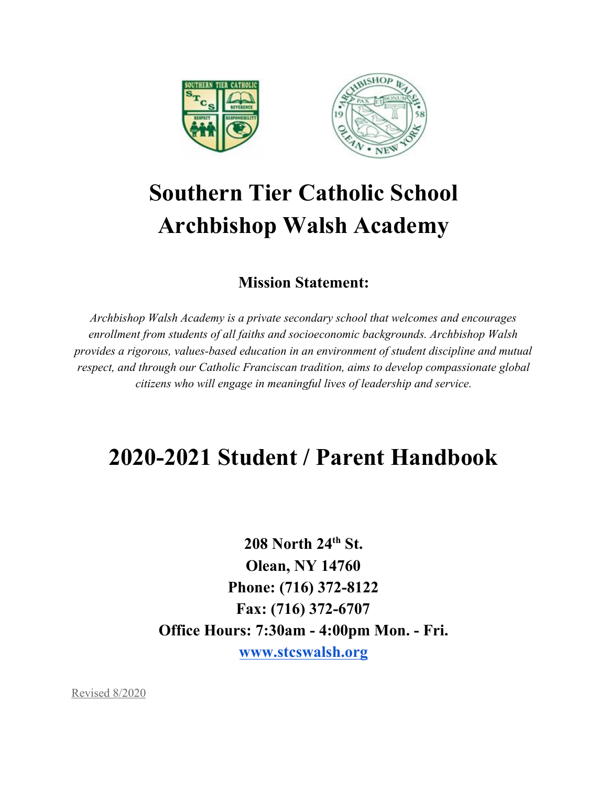

# **Southern Tier Catholic School Archbishop Walsh Academy**

## **Mission Statement:**

*Archbishop Walsh Academy is a private secondary school that welcomes and encourages enrollment from students of all faiths and socioeconomic backgrounds. Archbishop Walsh provides a rigorous, values-based education in an environment of student discipline and mutual respect, and through our Catholic Franciscan tradition, aims to develop compassionate global citizens who will engage in meaningful lives of leadership and service.*

# **2020-2021 Student / Parent Handbook**

**208 North 24 th St. Olean, NY 14760 Phone: (716) 372-8122 Fax: (716) 372-6707 Office Hours: 7:30am - 4:00pm Mon. - Fri. [www.stcswalsh.org](http://www.stcswalsh.org/)**

Revised 8/2020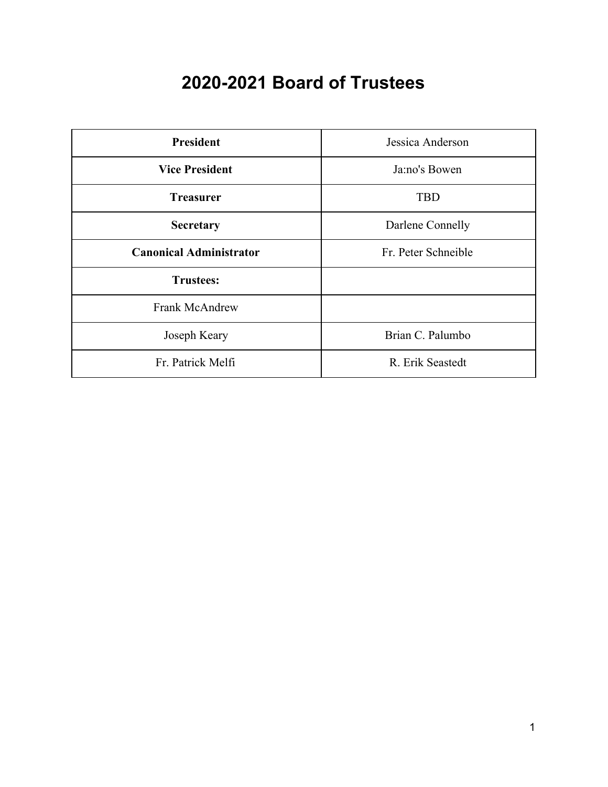# **2020-2021 Board of Trustees**

| <b>President</b>               | Jessica Anderson    |
|--------------------------------|---------------------|
| <b>Vice President</b>          | Ja:no's Bowen       |
| <b>Treasurer</b>               | <b>TBD</b>          |
| <b>Secretary</b>               | Darlene Connelly    |
| <b>Canonical Administrator</b> | Fr. Peter Schneible |
| <b>Trustees:</b>               |                     |
| <b>Frank McAndrew</b>          |                     |
| Joseph Keary                   | Brian C. Palumbo    |
| Fr. Patrick Melfi              | R. Erik Seastedt    |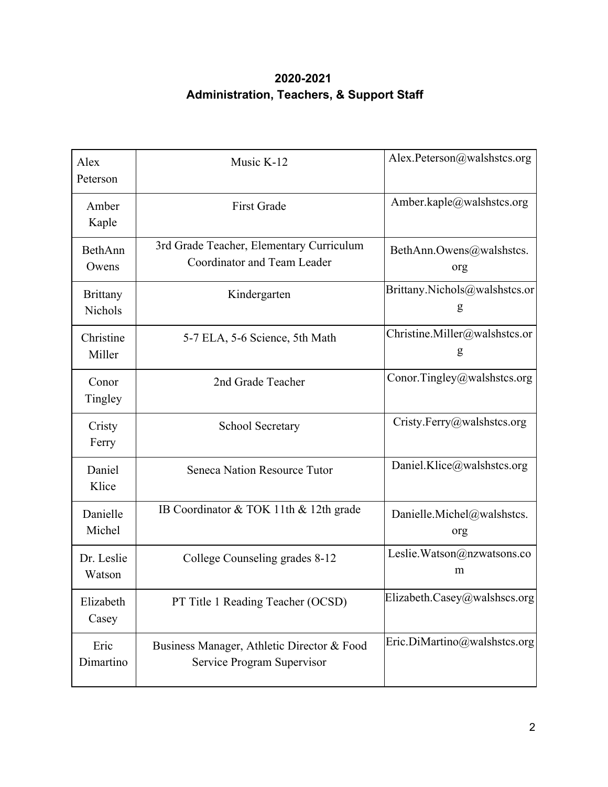## **2020-2021 Administration, Teachers, & Support Staff**

| Alex<br>Peterson                  | Music K-12                                                               | Alex.Peterson@walshstcs.org        |
|-----------------------------------|--------------------------------------------------------------------------|------------------------------------|
| Amber<br>Kaple                    | <b>First Grade</b>                                                       | Amber.kaple@walshstcs.org          |
| BethAnn<br>Owens                  | 3rd Grade Teacher, Elementary Curriculum<br>Coordinator and Team Leader  | BethAnn.Owens@walshstcs.<br>org    |
| <b>Brittany</b><br><b>Nichols</b> | Kindergarten                                                             | Brittany.Nichols@walshstcs.or<br>g |
| Christine<br>Miller               | 5-7 ELA, 5-6 Science, 5th Math                                           | Christine.Miller@walshstcs.or<br>g |
| Conor<br>Tingley                  | 2nd Grade Teacher                                                        | Conor.Tingley@walshstcs.org        |
| Cristy<br>Ferry                   | School Secretary                                                         | Cristy.Ferry@walshstcs.org         |
| Daniel<br>Klice                   | Seneca Nation Resource Tutor                                             | Daniel.Klice@walshstcs.org         |
| Danielle<br>Michel                | IB Coordinator & TOK 11th & 12th grade                                   | Danielle.Michel@walshstcs.<br>org  |
| Dr. Leslie<br>Watson              | College Counseling grades 8-12                                           | Leslie.Watson@nzwatsons.co<br>m    |
| Elizabeth<br>Casey                | PT Title 1 Reading Teacher (OCSD)                                        | Elizabeth.Casey@walshscs.org       |
| Eric<br>Dimartino                 | Business Manager, Athletic Director & Food<br>Service Program Supervisor | Eric.DiMartino@walshstcs.org       |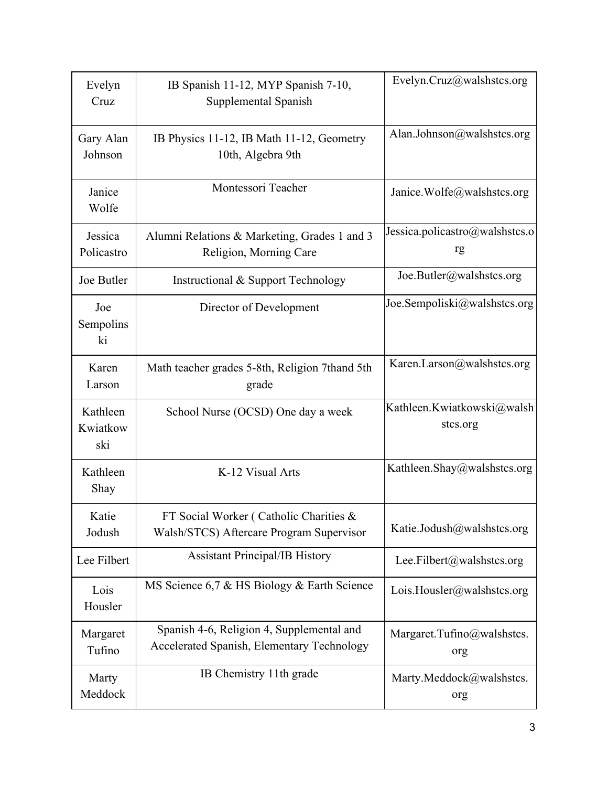| Evelyn<br>Cruz              | IB Spanish 11-12, MYP Spanish 7-10,<br>Supplemental Spanish                             | Evelyn.Cruz@walshstcs.org              |
|-----------------------------|-----------------------------------------------------------------------------------------|----------------------------------------|
| Gary Alan<br>Johnson        | IB Physics 11-12, IB Math 11-12, Geometry<br>10th, Algebra 9th                          | Alan.Johnson@walshstcs.org             |
| Janice<br>Wolfe             | Montessori Teacher                                                                      | Janice.Wolfe@walshstcs.org             |
| Jessica<br>Policastro       | Alumni Relations & Marketing, Grades 1 and 3<br>Religion, Morning Care                  | Jessica.policastro@walshstcs.o<br>rg   |
| Joe Butler                  | Instructional & Support Technology                                                      | Joe.Butler@walshstcs.org               |
| Joe<br>Sempolins<br>ki      | Director of Development                                                                 | Joe.Sempoliski@walshstcs.org           |
| Karen<br>Larson             | Math teacher grades 5-8th, Religion 7thand 5th<br>grade                                 | Karen.Larson@walshstcs.org             |
| Kathleen<br>Kwiatkow<br>ski | School Nurse (OCSD) One day a week                                                      | Kathleen.Kwiatkowski@walsh<br>stcs.org |
| Kathleen<br>Shay            | K-12 Visual Arts                                                                        | Kathleen.Shay@walshstcs.org            |
| Katie<br>Jodush             | FT Social Worker (Catholic Charities &<br>Walsh/STCS) Aftercare Program Supervisor      | Katie.Jodush@walshstcs.org             |
| Lee Filbert                 | <b>Assistant Principal/IB History</b>                                                   | Lee.Filbert@walshstcs.org              |
| Lois<br>Housler             | MS Science 6,7 & HS Biology & Earth Science                                             | Lois.Housler@walshstcs.org             |
| Margaret<br>Tufino          | Spanish 4-6, Religion 4, Supplemental and<br>Accelerated Spanish, Elementary Technology | Margaret.Tufino@walshstcs.<br>org      |
| Marty<br>Meddock            | IB Chemistry 11th grade                                                                 | Marty.Meddock@walshstcs.<br>org        |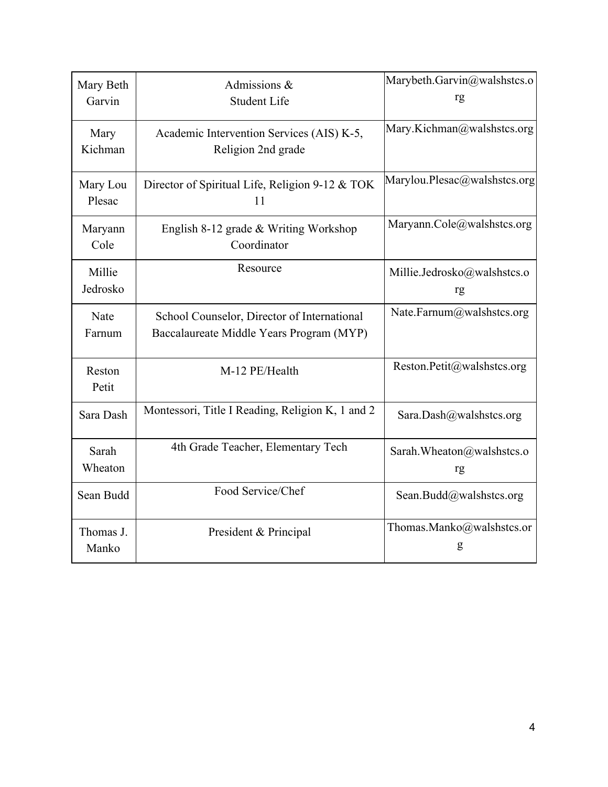| Mary Beth<br>Garvin | Admissions &<br><b>Student Life</b>                                                     | Marybeth.Garvin@walshstcs.o<br>rg |
|---------------------|-----------------------------------------------------------------------------------------|-----------------------------------|
| Mary<br>Kichman     | Academic Intervention Services (AIS) K-5,<br>Religion 2nd grade                         | Mary.Kichman@walshstcs.org        |
| Mary Lou<br>Plesac  | Director of Spiritual Life, Religion 9-12 & TOK<br>11                                   | Marylou.Plesac@walshstcs.org      |
| Maryann<br>Cole     | English 8-12 grade & Writing Workshop<br>Coordinator                                    | Maryann.Cole@walshstcs.org        |
| Millie<br>Jedrosko  | Resource                                                                                | Millie.Jedrosko@walshstcs.o<br>rg |
| Nate<br>Farnum      | School Counselor, Director of International<br>Baccalaureate Middle Years Program (MYP) | Nate.Farnum@walshstcs.org         |
| Reston<br>Petit     | M-12 PE/Health                                                                          | Reston.Petit@walshstcs.org        |
| Sara Dash           | Montessori, Title I Reading, Religion K, 1 and 2                                        | Sara.Dash@walshstcs.org           |
| Sarah<br>Wheaton    | 4th Grade Teacher, Elementary Tech                                                      | Sarah. Wheaton@walshstcs.o<br>rg  |
| Sean Budd           | Food Service/Chef                                                                       | Sean.Budd@walshstcs.org           |
| Thomas J.<br>Manko  | President & Principal                                                                   | Thomas.Manko@walshstcs.or<br>g    |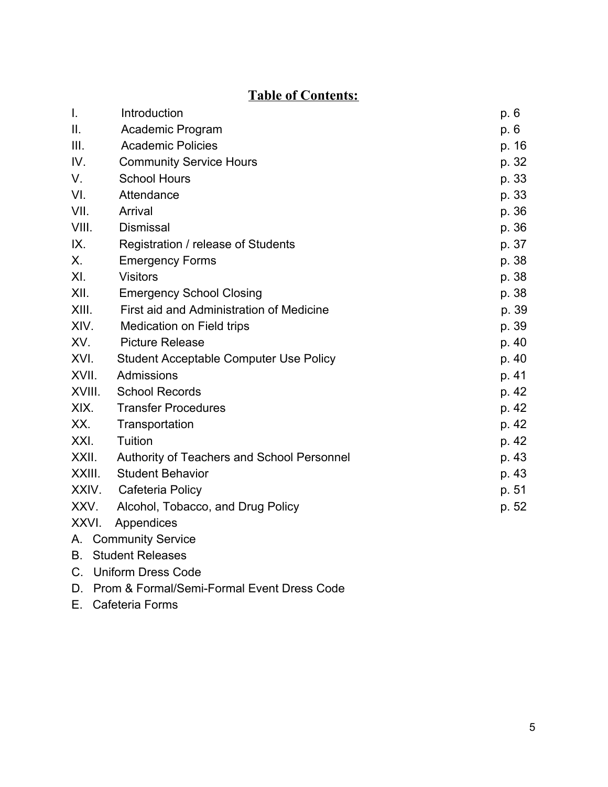## **Table of Contents:**

| $\mathbf{I}$ .      | Introduction                                  | p. 6 |       |
|---------------------|-----------------------------------------------|------|-------|
| II.                 | Academic Program                              | p. 6 |       |
| III.                | <b>Academic Policies</b>                      |      | p. 16 |
| IV.                 | <b>Community Service Hours</b>                |      | p. 32 |
| V.                  | <b>School Hours</b>                           |      | p. 33 |
| VI.                 | Attendance                                    |      | p. 33 |
| VII.                | Arrival                                       |      | p. 36 |
| VIII.               | <b>Dismissal</b>                              |      | p. 36 |
| IX.                 | Registration / release of Students            |      | p. 37 |
| Х.                  | <b>Emergency Forms</b>                        |      | p. 38 |
| XI.                 | <b>Visitors</b>                               |      | p. 38 |
| XII.                | <b>Emergency School Closing</b>               |      | p. 38 |
| XIII.               | First aid and Administration of Medicine      |      | p. 39 |
| XIV.                | <b>Medication on Field trips</b>              |      | p. 39 |
| XV.                 | <b>Picture Release</b>                        |      | p. 40 |
| XVI.                | <b>Student Acceptable Computer Use Policy</b> |      | p. 40 |
| XVII.               | Admissions                                    |      | p. 41 |
| XVIII.              | <b>School Records</b>                         |      | p. 42 |
| XIX.                | <b>Transfer Procedures</b>                    |      | p. 42 |
| XX.                 | Transportation                                |      | p. 42 |
| XXI.                | Tuition                                       |      | p. 42 |
| XXII.               | Authority of Teachers and School Personnel    |      | p. 43 |
| XXIII.              | <b>Student Behavior</b>                       |      | p. 43 |
| XXIV.               | Cafeteria Policy                              |      | p. 51 |
| XXV.                | Alcohol, Tobacco, and Drug Policy             |      | p. 52 |
| XXVI.<br>Appendices |                                               |      |       |
|                     | A. Community Service                          |      |       |

- B. Student Releases
- C. Uniform Dress Code
- D. Prom & Formal/Semi-Formal Event Dress Code
- E. Cafeteria Forms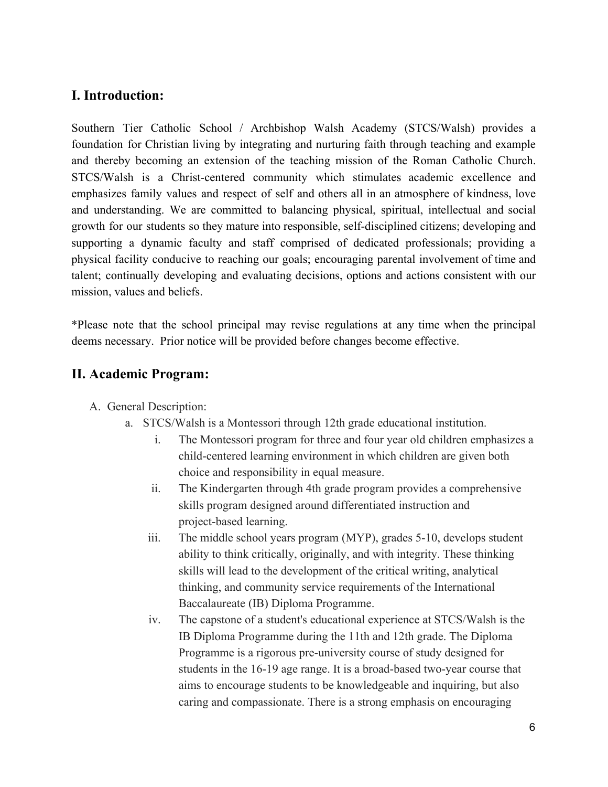## **I. Introduction:**

Southern Tier Catholic School / Archbishop Walsh Academy (STCS/Walsh) provides a foundation for Christian living by integrating and nurturing faith through teaching and example and thereby becoming an extension of the teaching mission of the Roman Catholic Church. STCS/Walsh is a Christ-centered community which stimulates academic excellence and emphasizes family values and respect of self and others all in an atmosphere of kindness, love and understanding. We are committed to balancing physical, spiritual, intellectual and social growth for our students so they mature into responsible, self-disciplined citizens; developing and supporting a dynamic faculty and staff comprised of dedicated professionals; providing a physical facility conducive to reaching our goals; encouraging parental involvement of time and talent; continually developing and evaluating decisions, options and actions consistent with our mission, values and beliefs.

\*Please note that the school principal may revise regulations at any time when the principal deems necessary. Prior notice will be provided before changes become effective.

#### **II. Academic Program:**

- A. General Description:
	- a. STCS/Walsh is a Montessori through 12th grade educational institution.
		- i. The Montessori program for three and four year old children emphasizes a child-centered learning environment in which children are given both choice and responsibility in equal measure.
		- ii. The Kindergarten through 4th grade program provides a comprehensive skills program designed around differentiated instruction and project-based learning.
		- iii. The middle school years program (MYP), grades 5-10, develops student ability to think critically, originally, and with integrity. These thinking skills will lead to the development of the critical writing, analytical thinking, and community service requirements of the International Baccalaureate (IB) Diploma Programme.
		- iv. The capstone of a student's educational experience at STCS/Walsh is the IB Diploma Programme during the 11th and 12th grade. The Diploma Programme is a rigorous pre-university course of study designed for students in the 16-19 age range. It is a broad-based two-year course that aims to encourage students to be knowledgeable and inquiring, but also caring and compassionate. There is a strong emphasis on encouraging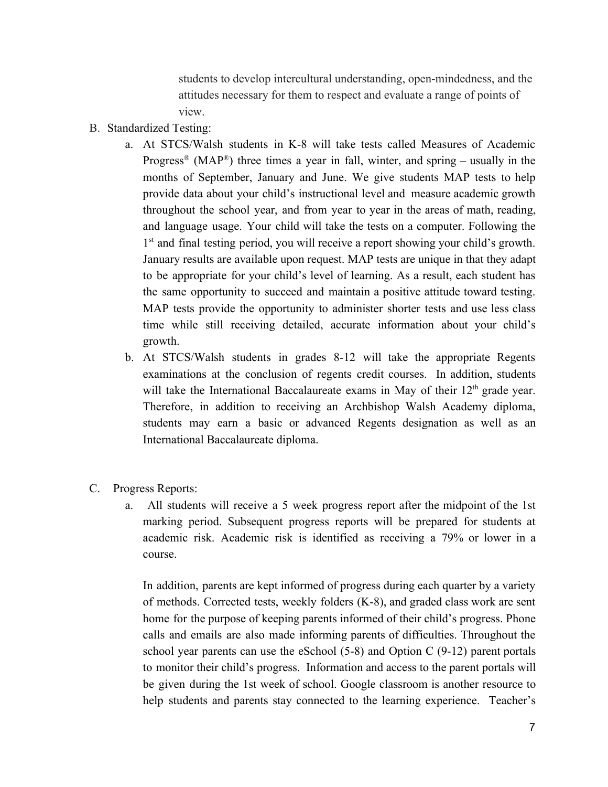students to develop intercultural understanding, open-mindedness, and the attitudes necessary for them to respect and evaluate a range of points of view.

- B. Standardized Testing:
	- a. At STCS/Walsh students in K-8 will take tests called Measures of Academic Progress<sup>®</sup> (MAP<sup>®</sup>) three times a year in fall, winter, and spring – usually in the months of September, January and June. We give students MAP tests to help provide data about your child's instructional level and measure academic growth throughout the school year, and from year to year in the areas of math, reading, and language usage. Your child will take the tests on a computer. Following the 1<sup>st</sup> and final testing period, you will receive a report showing your child's growth. January results are available upon request. MAP tests are unique in that they adapt to be appropriate for your child's level of learning. As a result, each student has the same opportunity to succeed and maintain a positive attitude toward testing. MAP tests provide the opportunity to administer shorter tests and use less class time while still receiving detailed, accurate information about your child's growth.
	- b. At STCS/Walsh students in grades 8-12 will take the appropriate Regents examinations at the conclusion of regents credit courses. In addition, students will take the International Baccalaureate exams in May of their  $12<sup>th</sup>$  grade year. Therefore, in addition to receiving an Archbishop Walsh Academy diploma, students may earn a basic or advanced Regents designation as well as an International Baccalaureate diploma.
- C. Progress Reports:
	- a. All students will receive a 5 week progress report after the midpoint of the 1st marking period. Subsequent progress reports will be prepared for students at academic risk. Academic risk is identified as receiving a 79% or lower in a course.

In addition, parents are kept informed of progress during each quarter by a variety of methods. Corrected tests, weekly folders (K-8), and graded class work are sent home for the purpose of keeping parents informed of their child's progress. Phone calls and emails are also made informing parents of difficulties. Throughout the school year parents can use the eSchool (5-8) and Option C (9-12) parent portals to monitor their child's progress. Information and access to the parent portals will be given during the 1st week of school. Google classroom is another resource to help students and parents stay connected to the learning experience. Teacher's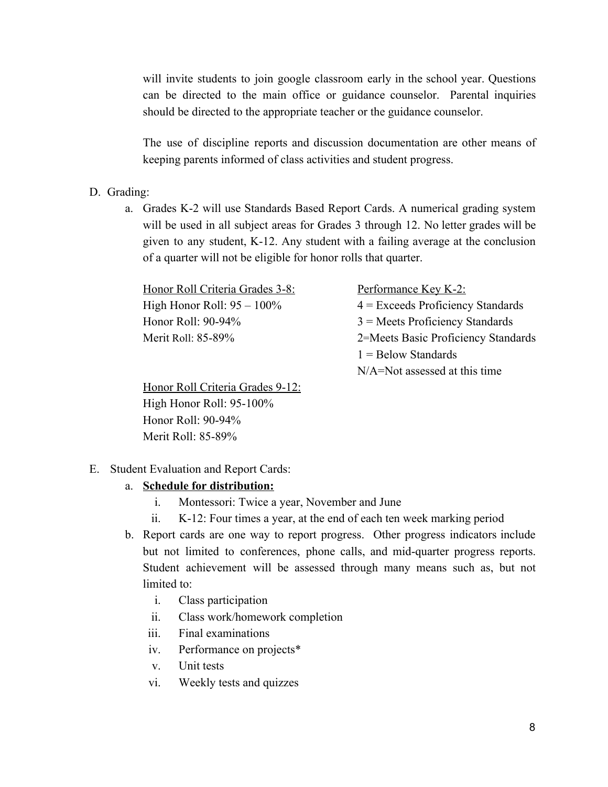will invite students to join google classroom early in the school year. Questions can be directed to the main office or guidance counselor. Parental inquiries should be directed to the appropriate teacher or the guidance counselor.

The use of discipline reports and discussion documentation are other means of keeping parents informed of class activities and student progress.

- D. Grading:
	- a. Grades K-2 will use Standards Based Report Cards. A numerical grading system will be used in all subject areas for Grades 3 through 12. No letter grades will be given to any student, K-12. Any student with a failing average at the conclusion of a quarter will not be eligible for honor rolls that quarter.

Honor Roll Criteria Grades 3-8: Performance Key K-2:

High Honor Roll:  $95 - 100\%$   $4 =$  Exceeds Proficiency Standards Honor Roll: 90-94% 3 = Meets Proficiency Standards Merit Roll: 85-89% 2=Meets Basic Proficiency Standards  $1 =$ Below Standards N/A=Not assessed at this time

Honor Roll Criteria Grades 9-12: High Honor Roll: 95-100% Honor Roll: 90-94% Merit Roll: 85-89%

#### E. Student Evaluation and Report Cards:

#### a. **Schedule for distribution:**

- i. Montessori: Twice a year, November and June
- ii. K-12: Four times a year, at the end of each ten week marking period
- b. Report cards are one way to report progress. Other progress indicators include but not limited to conferences, phone calls, and mid-quarter progress reports. Student achievement will be assessed through many means such as, but not limited to:
	- i. Class participation
	- ii. Class work/homework completion
	- iii. Final examinations
	- iv. Performance on projects\*
	- v. Unit tests
	- vi. Weekly tests and quizzes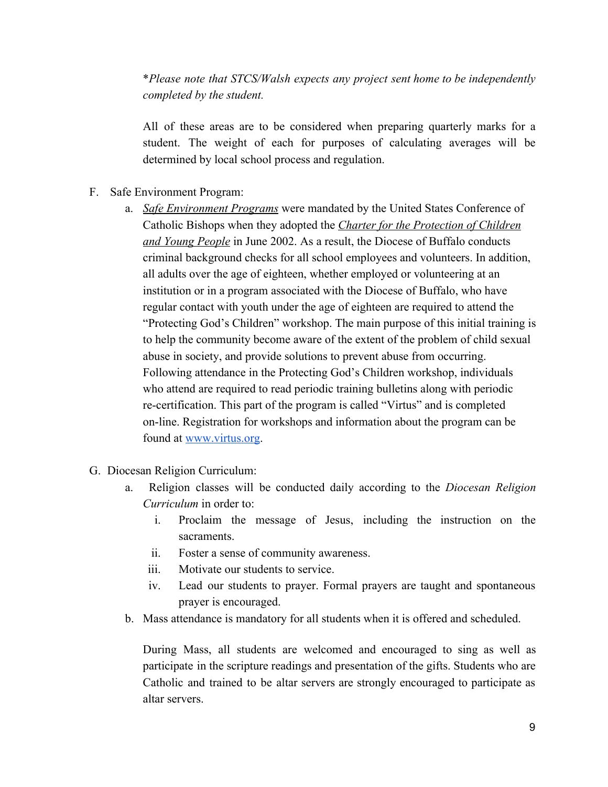\**Please note that STCS/Walsh expects any project sent home to be independently completed by the student.*

All of these areas are to be considered when preparing quarterly marks for a student. The weight of each for purposes of calculating averages will be determined by local school process and regulation.

- F. Safe Environment Program:
	- a. *Safe Environment Programs* were mandated by the United States Conference of Catholic Bishops when they adopted the *Charter for the Protection of Children and Young People* in June 2002. As a result, the Diocese of Buffalo conducts criminal background checks for all school employees and volunteers. In addition, all adults over the age of eighteen, whether employed or volunteering at an institution or in a program associated with the Diocese of Buffalo, who have regular contact with youth under the age of eighteen are required to attend the "Protecting God's Children" workshop. The main purpose of this initial training is to help the community become aware of the extent of the problem of child sexual abuse in society, and provide solutions to prevent abuse from occurring. Following attendance in the Protecting God's Children workshop, individuals who attend are required to read periodic training bulletins along with periodic re-certification. This part of the program is called "Virtus" and is completed on-line. Registration for workshops and information about the program can be found at [www.virtus.org.](http://www.virtus.org/)
- G. Diocesan Religion Curriculum:
	- a. Religion classes will be conducted daily according to the *Diocesan Religion Curriculum* in order to:
		- i. Proclaim the message of Jesus, including the instruction on the sacraments.
		- ii. Foster a sense of community awareness.
		- iii. Motivate our students to service.
		- iv. Lead our students to prayer. Formal prayers are taught and spontaneous prayer is encouraged.
	- b. Mass attendance is mandatory for all students when it is offered and scheduled.

During Mass, all students are welcomed and encouraged to sing as well as participate in the scripture readings and presentation of the gifts. Students who are Catholic and trained to be altar servers are strongly encouraged to participate as altar servers.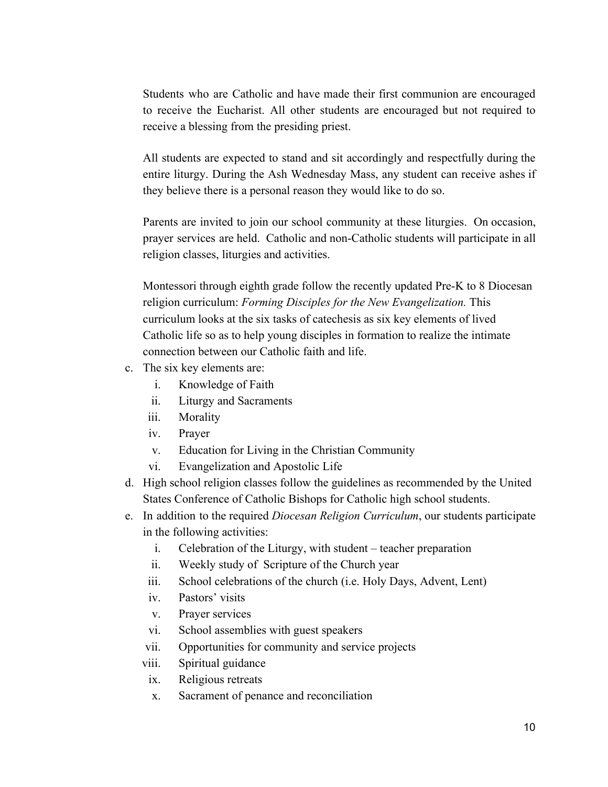Students who are Catholic and have made their first communion are encouraged to receive the Eucharist. All other students are encouraged but not required to receive a blessing from the presiding priest.

All students are expected to stand and sit accordingly and respectfully during the entire liturgy. During the Ash Wednesday Mass, any student can receive ashes if they believe there is a personal reason they would like to do so.

Parents are invited to join our school community at these liturgies. On occasion, prayer services are held. Catholic and non-Catholic students will participate in all religion classes, liturgies and activities.

Montessori through eighth grade follow the recently updated Pre-K to 8 Diocesan religion curriculum: *Forming Disciples for the New Evangelization.* This curriculum looks at the six tasks of catechesis as six key elements of lived Catholic life so as to help young disciples in formation to realize the intimate connection between our Catholic faith and life.

- c. The six key elements are:
	- i. Knowledge of Faith
	- ii. Liturgy and Sacraments
	- iii. Morality
	- iv. Prayer
	- v. Education for Living in the Christian Community
	- vi. Evangelization and Apostolic Life
- d. High school religion classes follow the guidelines as recommended by the United States Conference of Catholic Bishops for Catholic high school students.
- e. In addition to the required *Diocesan Religion Curriculum*, our students participate in the following activities:
	- i. Celebration of the Liturgy, with student teacher preparation
	- ii. Weekly study of Scripture of the Church year
	- iii. School celebrations of the church (i.e. Holy Days, Advent, Lent)
	- iv. Pastors' visits
	- v. Prayer services
	- vi. School assemblies with guest speakers
	- vii. Opportunities for community and service projects
	- viii. Spiritual guidance
	- ix. Religious retreats
	- x. Sacrament of penance and reconciliation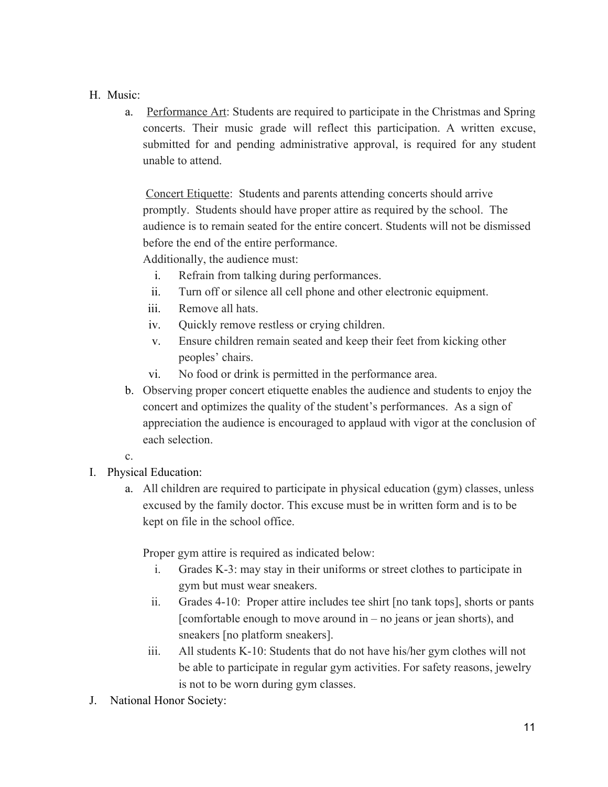#### H. Music:

a. Performance Art: Students are required to participate in the Christmas and Spring concerts. Their music grade will reflect this participation. A written excuse, submitted for and pending administrative approval, is required for any student unable to attend.

Concert Etiquette: Students and parents attending concerts should arrive promptly. Students should have proper attire as required by the school. The audience is to remain seated for the entire concert. Students will not be dismissed before the end of the entire performance.

Additionally, the audience must:

- i. Refrain from talking during performances.
- ii. Turn off or silence all cell phone and other electronic equipment.
- iii. Remove all hats.
- iv. Quickly remove restless or crying children.
- v. Ensure children remain seated and keep their feet from kicking other peoples' chairs.
- vi. No food or drink is permitted in the performance area.
- b. Observing proper concert etiquette enables the audience and students to enjoy the concert and optimizes the quality of the student's performances. As a sign of appreciation the audience is encouraged to applaud with vigor at the conclusion of each selection.

#### c.

- I. Physical Education:
	- a. All children are required to participate in physical education (gym) classes, unless excused by the family doctor. This excuse must be in written form and is to be kept on file in the school office.

Proper gym attire is required as indicated below:

- i. Grades K-3: may stay in their uniforms or street clothes to participate in gym but must wear sneakers.
- ii. Grades 4-10: Proper attire includes tee shirt [no tank tops], shorts or pants [comfortable enough to move around in – no jeans or jean shorts), and sneakers [no platform sneakers].
- iii. All students K-10: Students that do not have his/her gym clothes will not be able to participate in regular gym activities. For safety reasons, jewelry is not to be worn during gym classes.
- J. National Honor Society: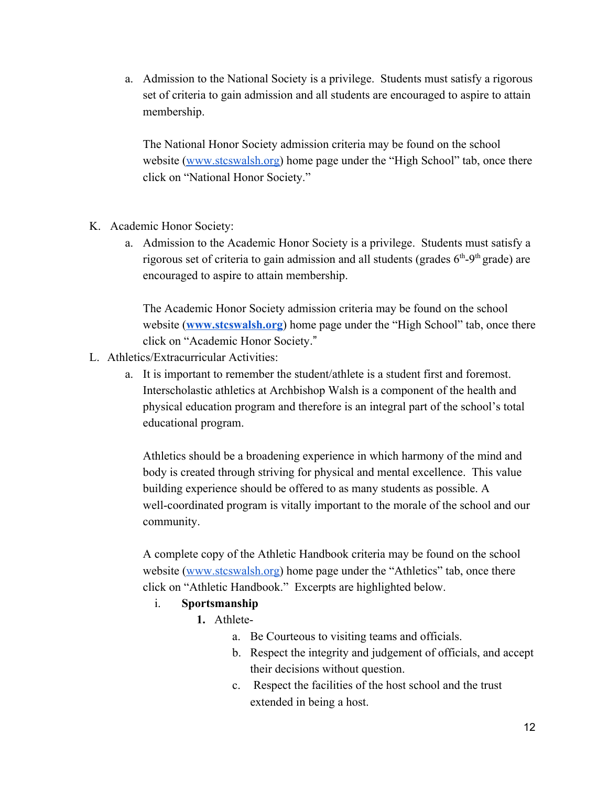a. Admission to the National Society is a privilege. Students must satisfy a rigorous set of criteria to gain admission and all students are encouraged to aspire to attain membership.

The National Honor Society admission criteria may be found on the school website ([www.stcswalsh.org\)](http://www.stcswalsh.org/) home page under the "High School" tab, once there click on "National Honor Society."

- K. Academic Honor Society:
	- a. Admission to the Academic Honor Society is a privilege. Students must satisfy a rigorous set of criteria to gain admission and all students (grades  $6<sup>th</sup>-9<sup>th</sup>$  grade) are encouraged to aspire to attain membership.

The Academic Honor Society admission criteria may be found on the school website (**[www.stcswalsh.org](http://www.stcswalsh.org/)**) home page under the "High School" tab, once there click on "Academic Honor Society."

- L. Athletics/Extracurricular Activities:
	- a. It is important to remember the student/athlete is a student first and foremost. Interscholastic athletics at Archbishop Walsh is a component of the health and physical education program and therefore is an integral part of the school's total educational program.

Athletics should be a broadening experience in which harmony of the mind and body is created through striving for physical and mental excellence. This value building experience should be offered to as many students as possible. A well-coordinated program is vitally important to the morale of the school and our community.

A complete copy of the Athletic Handbook criteria may be found on the school website ([www.stcswalsh.org\)](http://www.stcswalsh.org/) home page under the "Athletics" tab, once there click on "Athletic Handbook." Excerpts are highlighted below.

#### i. **Sportsmanship**

- **1.** Athlete
	- a. Be Courteous to visiting teams and officials.
	- b. Respect the integrity and judgement of officials, and accept their decisions without question.
	- c. Respect the facilities of the host school and the trust extended in being a host.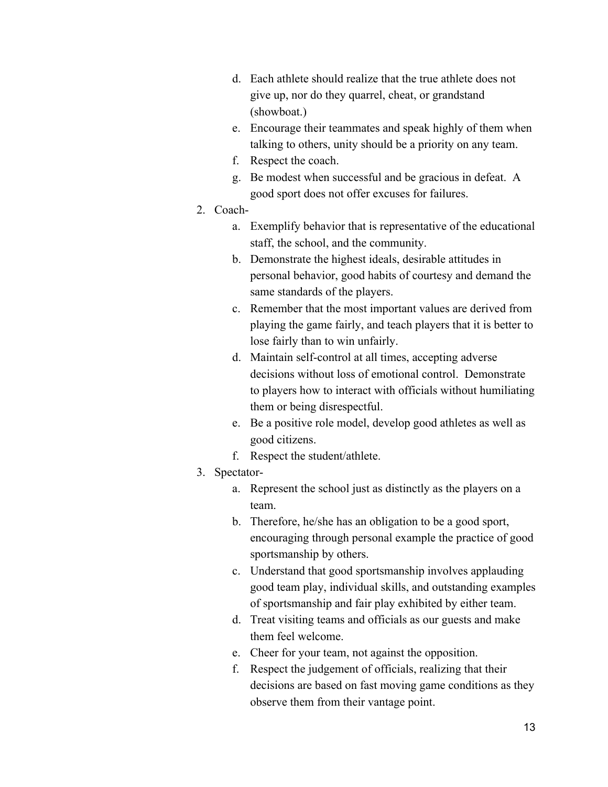- d. Each athlete should realize that the true athlete does not give up, nor do they quarrel, cheat, or grandstand (showboat.)
- e. Encourage their teammates and speak highly of them when talking to others, unity should be a priority on any team.
- f. Respect the coach.
- g. Be modest when successful and be gracious in defeat. A good sport does not offer excuses for failures.
- 2. Coach
	- a. Exemplify behavior that is representative of the educational staff, the school, and the community.
	- b. Demonstrate the highest ideals, desirable attitudes in personal behavior, good habits of courtesy and demand the same standards of the players.
	- c. Remember that the most important values are derived from playing the game fairly, and teach players that it is better to lose fairly than to win unfairly.
	- d. Maintain self-control at all times, accepting adverse decisions without loss of emotional control. Demonstrate to players how to interact with officials without humiliating them or being disrespectful.
	- e. Be a positive role model, develop good athletes as well as good citizens.
	- f. Respect the student/athlete.
- 3. Spectator
	- a. Represent the school just as distinctly as the players on a team.
	- b. Therefore, he/she has an obligation to be a good sport, encouraging through personal example the practice of good sportsmanship by others.
	- c. Understand that good sportsmanship involves applauding good team play, individual skills, and outstanding examples of sportsmanship and fair play exhibited by either team.
	- d. Treat visiting teams and officials as our guests and make them feel welcome.
	- e. Cheer for your team, not against the opposition.
	- f. Respect the judgement of officials, realizing that their decisions are based on fast moving game conditions as they observe them from their vantage point.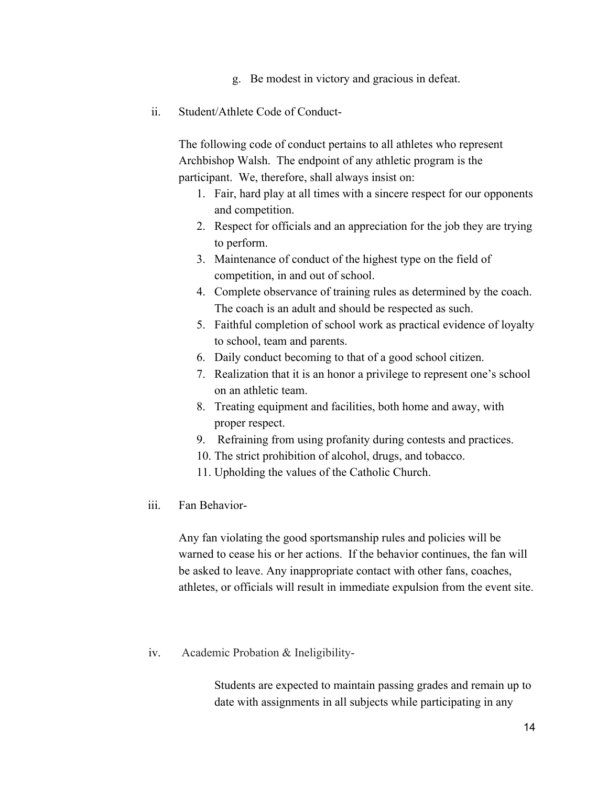- g. Be modest in victory and gracious in defeat.
- ii. Student/Athlete Code of Conduct-

The following code of conduct pertains to all athletes who represent Archbishop Walsh. The endpoint of any athletic program is the participant. We, therefore, shall always insist on:

- 1. Fair, hard play at all times with a sincere respect for our opponents and competition.
- 2. Respect for officials and an appreciation for the job they are trying to perform.
- 3. Maintenance of conduct of the highest type on the field of competition, in and out of school.
- 4. Complete observance of training rules as determined by the coach. The coach is an adult and should be respected as such.
- 5. Faithful completion of school work as practical evidence of loyalty to school, team and parents.
- 6. Daily conduct becoming to that of a good school citizen.
- 7. Realization that it is an honor a privilege to represent one's school on an athletic team.
- 8. Treating equipment and facilities, both home and away, with proper respect.
- 9. Refraining from using profanity during contests and practices.
- 10. The strict prohibition of alcohol, drugs, and tobacco.
- 11. Upholding the values of the Catholic Church.
- iii. Fan Behavior-

Any fan violating the good sportsmanship rules and policies will be warned to cease his or her actions. If the behavior continues, the fan will be asked to leave. Any inappropriate contact with other fans, coaches, athletes, or officials will result in immediate expulsion from the event site.

iv. Academic Probation & Ineligibility-

Students are expected to maintain passing grades and remain up to date with assignments in all subjects while participating in any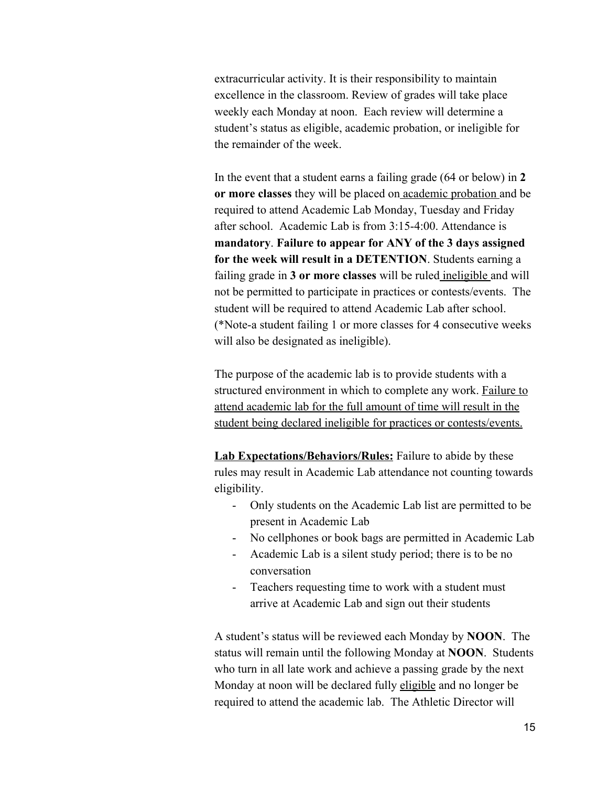extracurricular activity. It is their responsibility to maintain excellence in the classroom. Review of grades will take place weekly each Monday at noon. Each review will determine a student's status as eligible, academic probation, or ineligible for the remainder of the week.

In the event that a student earns a failing grade (64 or below) in **2 or more classes** they will be placed on academic probation and be required to attend Academic Lab Monday, Tuesday and Friday after school. Academic Lab is from 3:15-4:00. Attendance is **mandatory**. **Failure to appear for ANY of the 3 days assigned for the week will result in a DETENTION**. Students earning a failing grade in **3 or more classes** will be ruled ineligible and will not be permitted to participate in practices or contests/events. The student will be required to attend Academic Lab after school. (\*Note-a student failing 1 or more classes for 4 consecutive weeks will also be designated as ineligible).

The purpose of the academic lab is to provide students with a structured environment in which to complete any work. Failure to attend academic lab for the full amount of time will result in the student being declared ineligible for practices or contests/events.

**Lab Expectations/Behaviors/Rules:** Failure to abide by these rules may result in Academic Lab attendance not counting towards eligibility.

- Only students on the Academic Lab list are permitted to be present in Academic Lab
- No cellphones or book bags are permitted in Academic Lab
- Academic Lab is a silent study period; there is to be no conversation
- Teachers requesting time to work with a student must arrive at Academic Lab and sign out their students

A student's status will be reviewed each Monday by **NOON**. The status will remain until the following Monday at **NOON**. Students who turn in all late work and achieve a passing grade by the next Monday at noon will be declared fully eligible and no longer be required to attend the academic lab. The Athletic Director will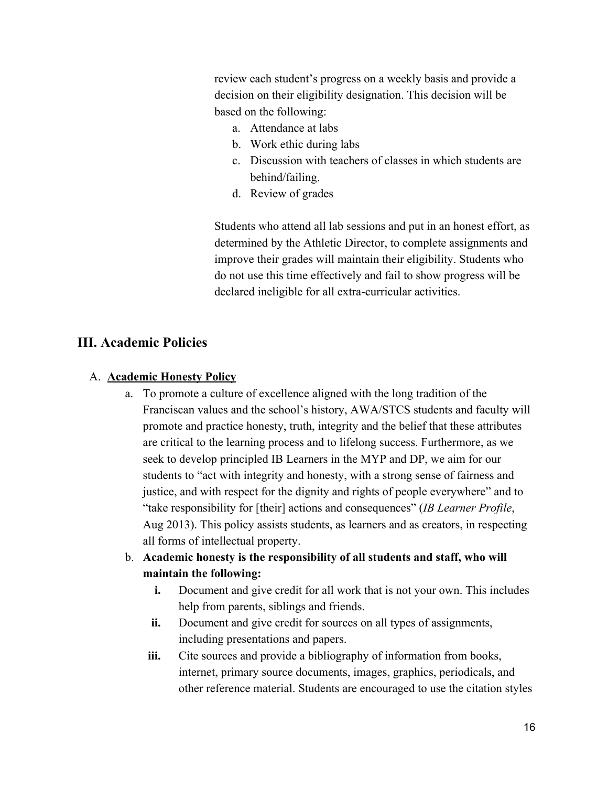review each student's progress on a weekly basis and provide a decision on their eligibility designation. This decision will be based on the following:

- a. Attendance at labs
- b. Work ethic during labs
- c. Discussion with teachers of classes in which students are behind/failing.
- d. Review of grades

Students who attend all lab sessions and put in an honest effort, as determined by the Athletic Director, to complete assignments and improve their grades will maintain their eligibility. Students who do not use this time effectively and fail to show progress will be declared ineligible for all extra-curricular activities.

#### **III. Academic Policies**

#### A. **Academic Honesty Policy**

- a. To promote a culture of excellence aligned with the long tradition of the Franciscan values and the school's history, AWA/STCS students and faculty will promote and practice honesty, truth, integrity and the belief that these attributes are critical to the learning process and to lifelong success. Furthermore, as we seek to develop principled IB Learners in the MYP and DP, we aim for our students to "act with integrity and honesty, with a strong sense of fairness and justice, and with respect for the dignity and rights of people everywhere" and to "take responsibility for [their] actions and consequences" (*IB Learner Profile*, Aug 2013). This policy assists students, as learners and as creators, in respecting all forms of intellectual property.
- b. **Academic honesty is the responsibility of all students and staff, who will maintain the following:**
	- **i.** Document and give credit for all work that is not your own. This includes help from parents, siblings and friends.
	- **ii.** Document and give credit for sources on all types of assignments, including presentations and papers.
	- iii. Cite sources and provide a bibliography of information from books, internet, primary source documents, images, graphics, periodicals, and other reference material. Students are encouraged to use the citation styles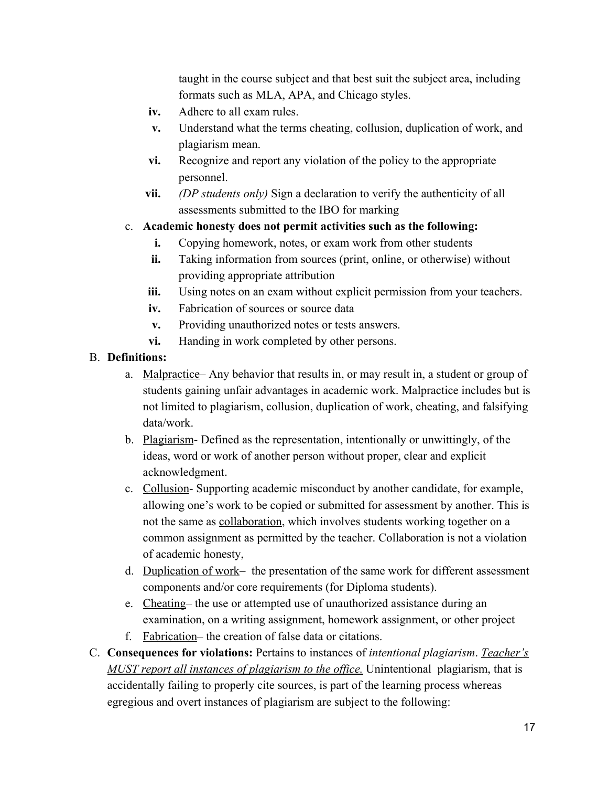taught in the course subject and that best suit the subject area, including formats such as MLA, APA, and Chicago styles.

- **iv.** Adhere to all exam rules.
- **v.** Understand what the terms cheating, collusion, duplication of work, and plagiarism mean.
- **vi.** Recognize and report any violation of the policy to the appropriate personnel.
- **vii.** *(DP students only)* Sign a declaration to verify the authenticity of all assessments submitted to the IBO for marking
- c. **Academic honesty does not permit activities such as the following:**
	- **i.** Copying homework, notes, or exam work from other students
	- **ii.** Taking information from sources (print, online, or otherwise) without providing appropriate attribution
	- **iii.** Using notes on an exam without explicit permission from your teachers.
	- **iv.** Fabrication of sources or source data
	- **v.** Providing unauthorized notes or tests answers.
	- **vi.** Handing in work completed by other persons.

#### B. **Definitions:**

- a. Malpractice– Any behavior that results in, or may result in, a student or group of students gaining unfair advantages in academic work. Malpractice includes but is not limited to plagiarism, collusion, duplication of work, cheating, and falsifying data/work.
- b. Plagiarism- Defined as the representation, intentionally or unwittingly, of the ideas, word or work of another person without proper, clear and explicit acknowledgment.
- c. Collusion- Supporting academic misconduct by another candidate, for example, allowing one's work to be copied or submitted for assessment by another. This is not the same as collaboration, which involves students working together on a common assignment as permitted by the teacher. Collaboration is not a violation of academic honesty,
- d. Duplication of work– the presentation of the same work for different assessment components and/or core requirements (for Diploma students).
- e. Cheating– the use or attempted use of unauthorized assistance during an examination, on a writing assignment, homework assignment, or other project
- f. Fabrication– the creation of false data or citations.
- C. **Consequences for violations:** Pertains to instances of *intentional plagiarism*. *Teacher's MUST report all instances of plagiarism to the office.* Unintentional plagiarism, that is accidentally failing to properly cite sources, is part of the learning process whereas egregious and overt instances of plagiarism are subject to the following: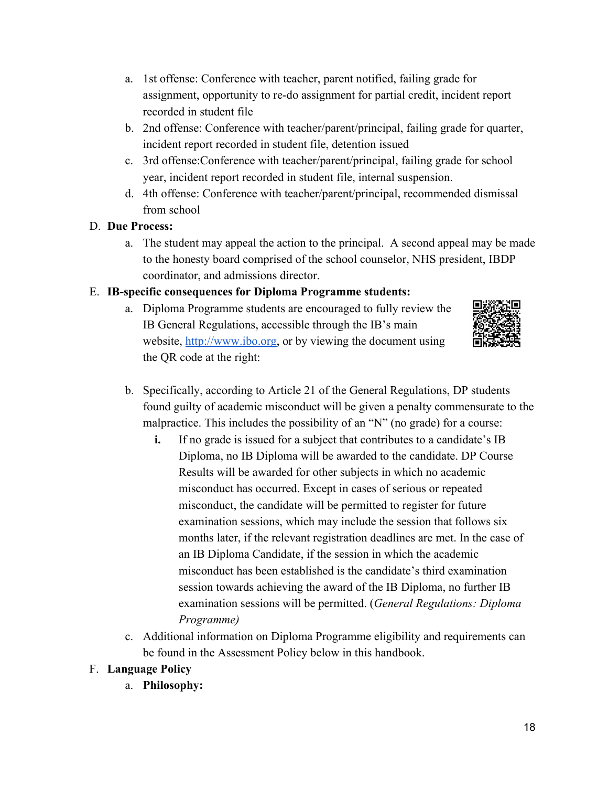- a. 1st offense: Conference with teacher, parent notified, failing grade for assignment, opportunity to re-do assignment for partial credit, incident report recorded in student file
- b. 2nd offense: Conference with teacher/parent/principal, failing grade for quarter, incident report recorded in student file, detention issued
- c. 3rd offense:Conference with teacher/parent/principal, failing grade for school year, incident report recorded in student file, internal suspension.
- d. 4th offense: Conference with teacher/parent/principal, recommended dismissal from school

#### D. **Due Process:**

a. The student may appeal the action to the principal. A second appeal may be made to the honesty board comprised of the school counselor, NHS president, IBDP coordinator, and admissions director.

#### E. **IB-specific consequences for Diploma Programme students:**

a. Diploma Programme students are encouraged to fully review the IB General Regulations, accessible through the IB's main website, [http://www.ibo.org,](http://www.ibo.org/) or by viewing the document using the QR code at the right:



- b. Specifically, according to Article 21 of the General Regulations, DP students found guilty of academic misconduct will be given a penalty commensurate to the malpractice. This includes the possibility of an "N" (no grade) for a course:
	- **i.** If no grade is issued for a subject that contributes to a candidate's IB Diploma, no IB Diploma will be awarded to the candidate. DP Course Results will be awarded for other subjects in which no academic misconduct has occurred. Except in cases of serious or repeated misconduct, the candidate will be permitted to register for future examination sessions, which may include the session that follows six months later, if the relevant registration deadlines are met. In the case of an IB Diploma Candidate, if the session in which the academic misconduct has been established is the candidate's third examination session towards achieving the award of the IB Diploma, no further IB examination sessions will be permitted. (*General Regulations: Diploma Programme)*
- c. Additional information on Diploma Programme eligibility and requirements can be found in the Assessment Policy below in this handbook.

## F. **Language Policy**

a. **Philosophy:**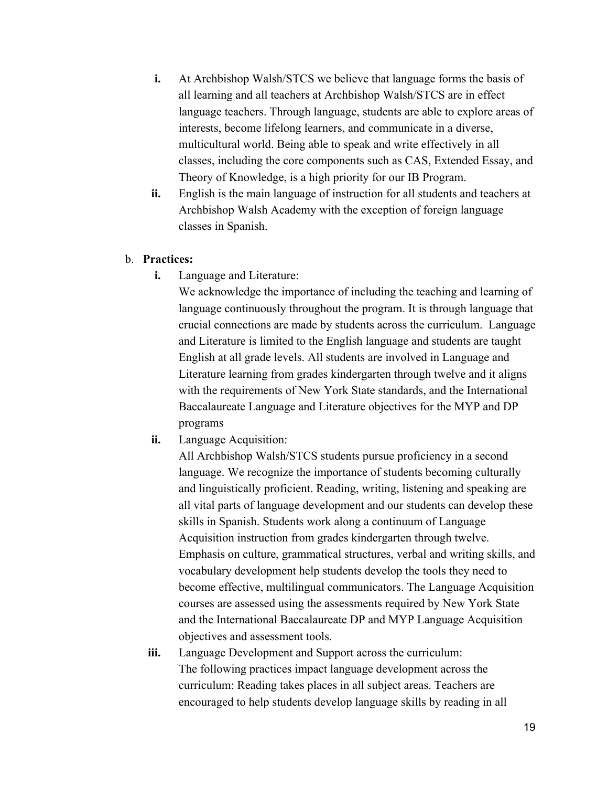- **i.** At Archbishop Walsh/STCS we believe that language forms the basis of all learning and all teachers at Archbishop Walsh/STCS are in effect language teachers. Through language, students are able to explore areas of interests, become lifelong learners, and communicate in a diverse, multicultural world. Being able to speak and write effectively in all classes, including the core components such as CAS, Extended Essay, and Theory of Knowledge, is a high priority for our IB Program.
- **ii.** English is the main language of instruction for all students and teachers at Archbishop Walsh Academy with the exception of foreign language classes in Spanish.

#### b. **Practices:**

**i.** Language and Literature:

We acknowledge the importance of including the teaching and learning of language continuously throughout the program. It is through language that crucial connections are made by students across the curriculum. Language and Literature is limited to the English language and students are taught English at all grade levels. All students are involved in Language and Literature learning from grades kindergarten through twelve and it aligns with the requirements of New York State standards, and the International Baccalaureate Language and Literature objectives for the MYP and DP programs

**ii.** Language Acquisition:

All Archbishop Walsh/STCS students pursue proficiency in a second language. We recognize the importance of students becoming culturally and linguistically proficient. Reading, writing, listening and speaking are all vital parts of language development and our students can develop these skills in Spanish. Students work along a continuum of Language Acquisition instruction from grades kindergarten through twelve. Emphasis on culture, grammatical structures, verbal and writing skills, and vocabulary development help students develop the tools they need to become effective, multilingual communicators. The Language Acquisition courses are assessed using the assessments required by New York State and the International Baccalaureate DP and MYP Language Acquisition objectives and assessment tools.

**iii.** Language Development and Support across the curriculum: The following practices impact language development across the curriculum: Reading takes places in all subject areas. Teachers are encouraged to help students develop language skills by reading in all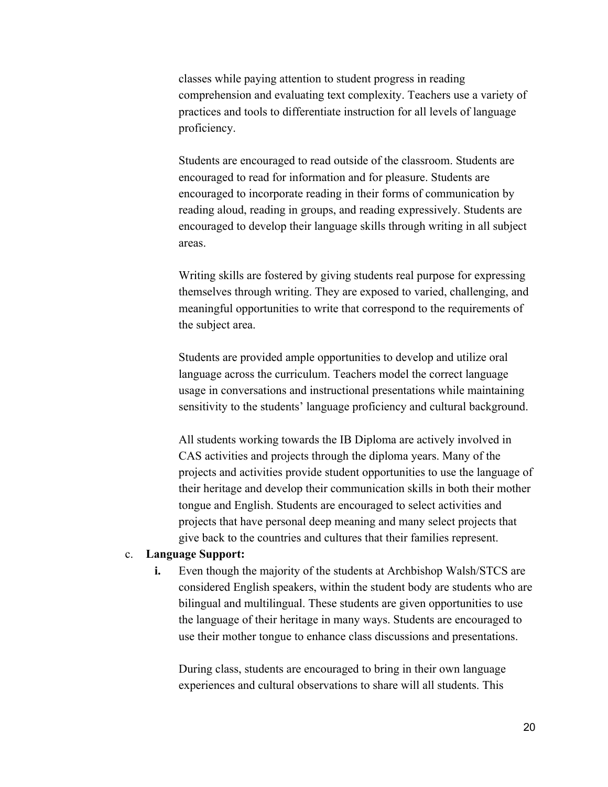classes while paying attention to student progress in reading comprehension and evaluating text complexity. Teachers use a variety of practices and tools to differentiate instruction for all levels of language proficiency.

Students are encouraged to read outside of the classroom. Students are encouraged to read for information and for pleasure. Students are encouraged to incorporate reading in their forms of communication by reading aloud, reading in groups, and reading expressively. Students are encouraged to develop their language skills through writing in all subject areas.

Writing skills are fostered by giving students real purpose for expressing themselves through writing. They are exposed to varied, challenging, and meaningful opportunities to write that correspond to the requirements of the subject area.

Students are provided ample opportunities to develop and utilize oral language across the curriculum. Teachers model the correct language usage in conversations and instructional presentations while maintaining sensitivity to the students' language proficiency and cultural background.

All students working towards the IB Diploma are actively involved in CAS activities and projects through the diploma years. Many of the projects and activities provide student opportunities to use the language of their heritage and develop their communication skills in both their mother tongue and English. Students are encouraged to select activities and projects that have personal deep meaning and many select projects that give back to the countries and cultures that their families represent.

#### c. **Language Support:**

**i.** Even though the majority of the students at Archbishop Walsh/STCS are considered English speakers, within the student body are students who are bilingual and multilingual. These students are given opportunities to use the language of their heritage in many ways. Students are encouraged to use their mother tongue to enhance class discussions and presentations.

During class, students are encouraged to bring in their own language experiences and cultural observations to share will all students. This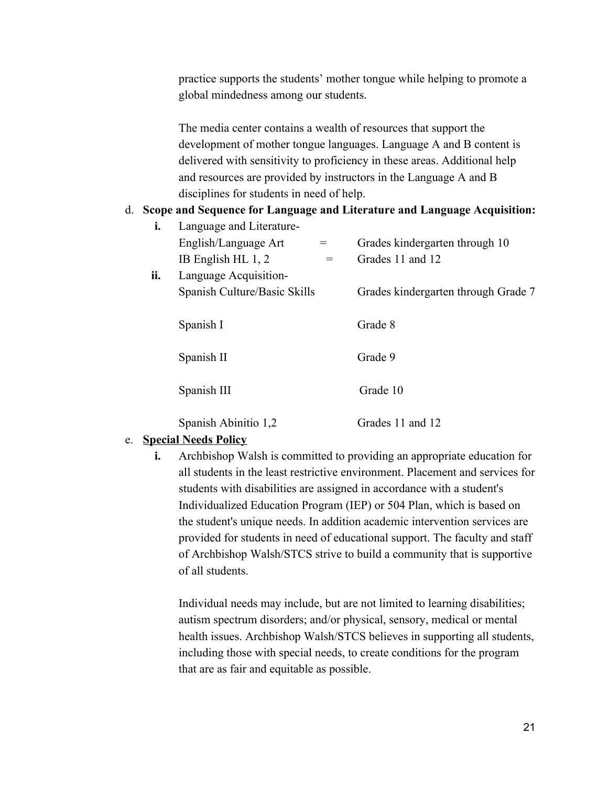practice supports the students' mother tongue while helping to promote a global mindedness among our students.

The media center contains a wealth of resources that support the development of mother tongue languages. Language A and B content is delivered with sensitivity to proficiency in these areas. Additional help and resources are provided by instructors in the Language A and B disciplines for students in need of help.

#### d. **Scope and Sequence for Language and Literature and Language Acquisition:**

| i.  | Language and Literature-     |                                     |
|-----|------------------------------|-------------------------------------|
|     | English/Language Art<br>$=$  | Grades kindergarten through 10      |
|     | IB English HL $1, 2$<br>$=$  | Grades 11 and 12                    |
| ii. | Language Acquisition-        |                                     |
|     | Spanish Culture/Basic Skills | Grades kindergarten through Grade 7 |
|     |                              |                                     |
|     | Spanish I                    | Grade 8                             |
|     |                              |                                     |
|     | Spanish II                   | Grade 9                             |
|     |                              |                                     |
|     | Spanish III                  | Grade 10                            |
|     |                              |                                     |
|     | Spanish Abinitio 1,2         | Grades 11 and 12                    |

#### e. **Special Needs Policy**

**i.** Archbishop Walsh is committed to providing an appropriate education for all students in the least restrictive environment. Placement and services for students with disabilities are assigned in accordance with a student's Individualized Education Program (IEP) or 504 Plan, which is based on the student's unique needs. In addition academic intervention services are provided for students in need of educational support. The faculty and staff of Archbishop Walsh/STCS strive to build a community that is supportive of all students.

Individual needs may include, but are not limited to learning disabilities; autism spectrum disorders; and/or physical, sensory, medical or mental health issues. Archbishop Walsh/STCS believes in supporting all students, including those with special needs, to create conditions for the program that are as fair and equitable as possible.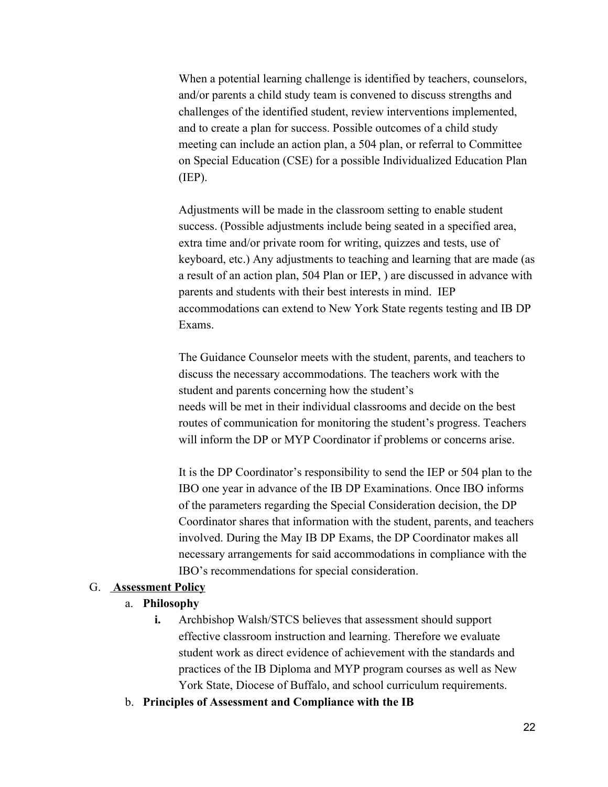When a potential learning challenge is identified by teachers, counselors, and/or parents a child study team is convened to discuss strengths and challenges of the identified student, review interventions implemented, and to create a plan for success. Possible outcomes of a child study meeting can include an action plan, a 504 plan, or referral to Committee on Special Education (CSE) for a possible Individualized Education Plan (IEP).

Adjustments will be made in the classroom setting to enable student success. (Possible adjustments include being seated in a specified area, extra time and/or private room for writing, quizzes and tests, use of keyboard, etc.) Any adjustments to teaching and learning that are made (as a result of an action plan, 504 Plan or IEP, ) are discussed in advance with parents and students with their best interests in mind. IEP accommodations can extend to New York State regents testing and IB DP Exams.

The Guidance Counselor meets with the student, parents, and teachers to discuss the necessary accommodations. The teachers work with the student and parents concerning how the student's needs will be met in their individual classrooms and decide on the best routes of communication for monitoring the student's progress. Teachers will inform the DP or MYP Coordinator if problems or concerns arise.

It is the DP Coordinator's responsibility to send the IEP or 504 plan to the IBO one year in advance of the IB DP Examinations. Once IBO informs of the parameters regarding the Special Consideration decision, the DP Coordinator shares that information with the student, parents, and teachers involved. During the May IB DP Exams, the DP Coordinator makes all necessary arrangements for said accommodations in compliance with the IBO's recommendations for special consideration.

#### G. **Assessment Policy**

#### a. **Philosophy**

- **i.** Archbishop Walsh/STCS believes that assessment should support effective classroom instruction and learning. Therefore we evaluate student work as direct evidence of achievement with the standards and practices of the IB Diploma and MYP program courses as well as New York State, Diocese of Buffalo, and school curriculum requirements.
- b. **Principles of Assessment and Compliance with the IB**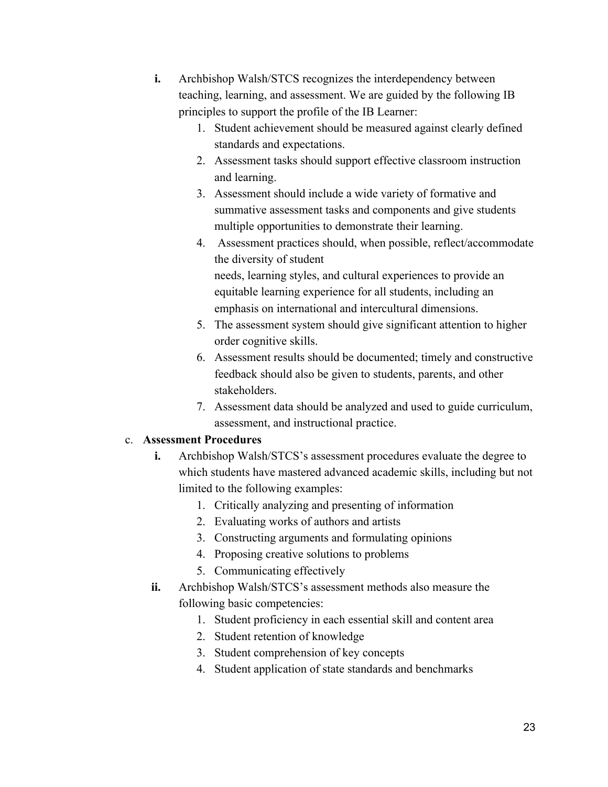- **i.** Archbishop Walsh/STCS recognizes the interdependency between teaching, learning, and assessment. We are guided by the following IB principles to support the profile of the IB Learner:
	- 1. Student achievement should be measured against clearly defined standards and expectations.
	- 2. Assessment tasks should support effective classroom instruction and learning.
	- 3. Assessment should include a wide variety of formative and summative assessment tasks and components and give students multiple opportunities to demonstrate their learning.
	- 4. Assessment practices should, when possible, reflect/accommodate the diversity of student needs, learning styles, and cultural experiences to provide an equitable learning experience for all students, including an emphasis on international and intercultural dimensions.
	- 5. The assessment system should give significant attention to higher order cognitive skills.
	- 6. Assessment results should be documented; timely and constructive feedback should also be given to students, parents, and other stakeholders.
	- 7. Assessment data should be analyzed and used to guide curriculum, assessment, and instructional practice.

#### c. **Assessment Procedures**

- **i.** Archbishop Walsh/STCS's assessment procedures evaluate the degree to which students have mastered advanced academic skills, including but not limited to the following examples:
	- 1. Critically analyzing and presenting of information
	- 2. Evaluating works of authors and artists
	- 3. Constructing arguments and formulating opinions
	- 4. Proposing creative solutions to problems
	- 5. Communicating effectively
- **ii.** Archbishop Walsh/STCS's assessment methods also measure the following basic competencies:
	- 1. Student proficiency in each essential skill and content area
	- 2. Student retention of knowledge
	- 3. Student comprehension of key concepts
	- 4. Student application of state standards and benchmarks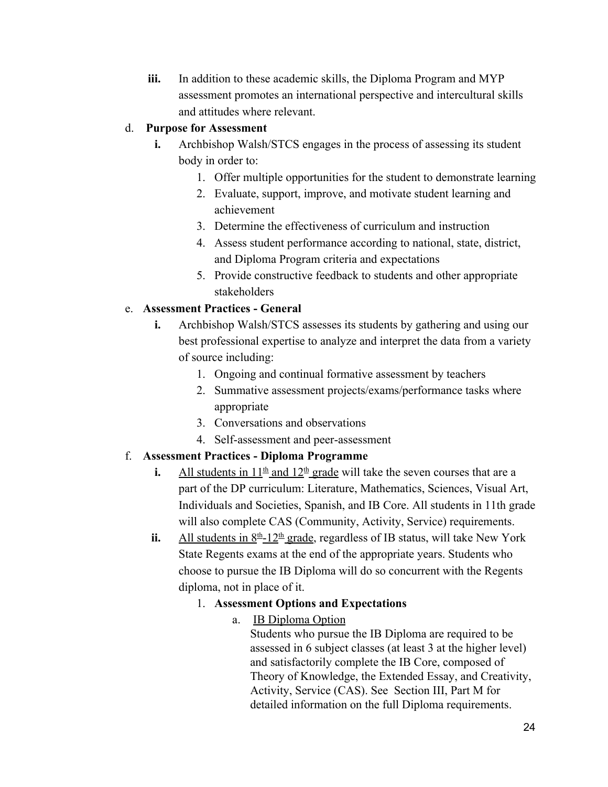iii. In addition to these academic skills, the Diploma Program and MYP assessment promotes an international perspective and intercultural skills and attitudes where relevant.

#### d. **Purpose for Assessment**

- **i.** Archbishop Walsh/STCS engages in the process of assessing its student body in order to:
	- 1. Offer multiple opportunities for the student to demonstrate learning
	- 2. Evaluate, support, improve, and motivate student learning and achievement
	- 3. Determine the effectiveness of curriculum and instruction
	- 4. Assess student performance according to national, state, district, and Diploma Program criteria and expectations
	- 5. Provide constructive feedback to students and other appropriate stakeholders

#### e. **Assessment Practices - General**

- **i.** Archbishop Walsh/STCS assesses its students by gathering and using our best professional expertise to analyze and interpret the data from a variety of source including:
	- 1. Ongoing and continual formative assessment by teachers
	- 2. Summative assessment projects/exams/performance tasks where appropriate
	- 3. Conversations and observations
	- 4. Self-assessment and peer-assessment

## f. **Assessment Practices - Diploma Programme**

- **i.** All students in  $11^{\underline{\text{th}}}$  and  $12^{\underline{\text{th}}}$  grade will take the seven courses that are a part of the DP curriculum: Literature, Mathematics, Sciences, Visual Art, Individuals and Societies, Spanish, and IB Core. All students in 11th grade will also complete CAS (Community, Activity, Service) requirements.
- ii. All students in  $8<sup>th</sup> 12<sup>th</sup>$  grade, regardless of IB status, will take New York State Regents exams at the end of the appropriate years. Students who choose to pursue the IB Diploma will do so concurrent with the Regents diploma, not in place of it.

## 1. **Assessment Options and Expectations**

a. IB Diploma Option

Students who pursue the IB Diploma are required to be assessed in 6 subject classes (at least 3 at the higher level) and satisfactorily complete the IB Core, composed of Theory of Knowledge, the Extended Essay, and Creativity, Activity, Service (CAS). See Section III, Part M for detailed information on the full Diploma requirements.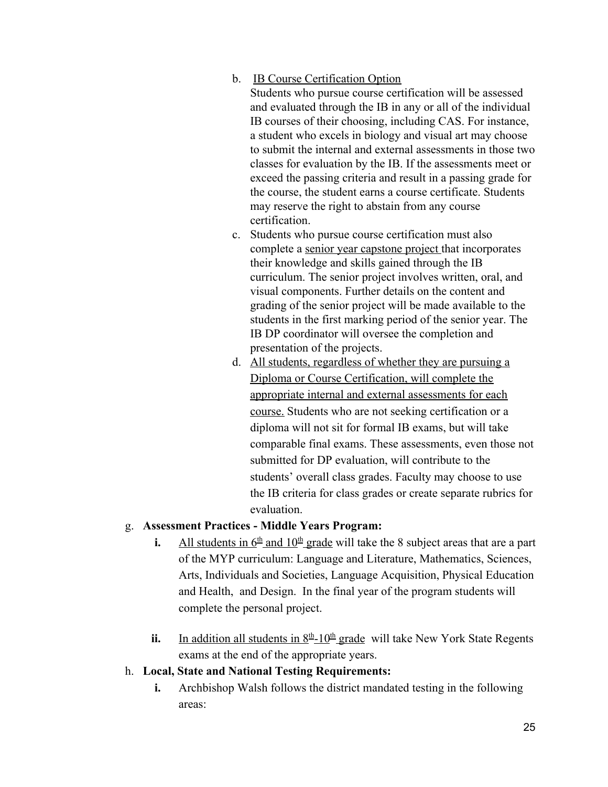b. IB Course Certification Option

Students who pursue course certification will be assessed and evaluated through the IB in any or all of the individual IB courses of their choosing, including CAS. For instance, a student who excels in biology and visual art may choose to submit the internal and external assessments in those two classes for evaluation by the IB. If the assessments meet or exceed the passing criteria and result in a passing grade for the course, the student earns a course certificate. Students may reserve the right to abstain from any course certification.

- c. Students who pursue course certification must also complete a senior year capstone project that incorporates their knowledge and skills gained through the IB curriculum. The senior project involves written, oral, and visual components. Further details on the content and grading of the senior project will be made available to the students in the first marking period of the senior year. The IB DP coordinator will oversee the completion and presentation of the projects.
- d. All students, regardless of whether they are pursuing a Diploma or Course Certification, will complete the appropriate internal and external assessments for each course. Students who are not seeking certification or a diploma will not sit for formal IB exams, but will take comparable final exams. These assessments, even those not submitted for DP evaluation, will contribute to the students' overall class grades. Faculty may choose to use the IB criteria for class grades or create separate rubrics for evaluation.

#### g. **Assessment Practices - Middle Years Program:**

- **i.** All students in  $6^{\text{th}}$  and  $10^{\text{th}}$  grade will take the 8 subject areas that are a part of the MYP curriculum: Language and Literature, Mathematics, Sciences, Arts, Individuals and Societies, Language Acquisition, Physical Education and Health, and Design. In the final year of the program students will complete the personal project.
- ii. In addition all students in  $8<sup>th</sup>$ -10<sup>th</sup> grade will take New York State Regents exams at the end of the appropriate years.
- h. **Local, State and National Testing Requirements:**
	- **i.** Archbishop Walsh follows the district mandated testing in the following areas: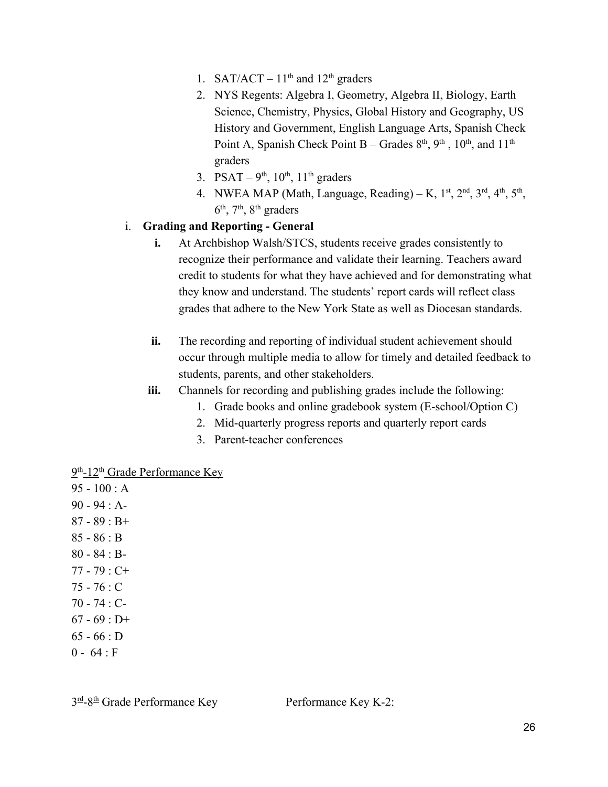- 1. SAT/ACT  $11<sup>th</sup>$  and  $12<sup>th</sup>$  graders
- 2. NYS Regents: Algebra I, Geometry, Algebra II, Biology, Earth Science, Chemistry, Physics, Global History and Geography, US History and Government, English Language Arts, Spanish Check Point A, Spanish Check Point B – Grades  $8<sup>th</sup>$ ,  $9<sup>th</sup>$ ,  $10<sup>th</sup>$ , and  $11<sup>th</sup>$ graders
- 3. PSAT  $9^{th}$ ,  $10^{th}$ ,  $11^{th}$  graders
- 4. NWEA MAP (Math, Language, Reading) K,  $1<sup>st</sup>$ ,  $2<sup>nd</sup>$ ,  $3<sup>rd</sup>$ ,  $4<sup>th</sup>$ ,  $5<sup>th</sup>$ ,  $6<sup>th</sup>$ ,  $7<sup>th</sup>$ ,  $8<sup>th</sup>$  graders

#### i. **Grading and Reporting - General**

- **i.** At Archbishop Walsh/STCS, students receive grades consistently to recognize their performance and validate their learning. Teachers award credit to students for what they have achieved and for demonstrating what they know and understand. The students' report cards will reflect class grades that adhere to the New York State as well as Diocesan standards.
- **ii.** The recording and reporting of individual student achievement should occur through multiple media to allow for timely and detailed feedback to students, parents, and other stakeholders.
- **iii.** Channels for recording and publishing grades include the following:
	- 1. Grade books and online gradebook system (E-school/Option C)
	- 2. Mid-quarterly progress reports and quarterly report cards
	- 3. Parent-teacher conferences

#### <u>9<sup>th</sup>-12<sup>th</sup> Grade Performance Key</u>

95 - 100 : A 90 - 94 : A- $87 - 89 : B +$ 85 - 86 : B 80 - 84 : B-77 - 79 : C+ 75 - 76 : C 70 - 74 : C- $67 - 69 : D+$  $65 - 66 : D$  $0 - 64 : F$ 

3<sup>rd</sup>-8<sup>th</sup> Grade Performance Key **Performance Key K-2:**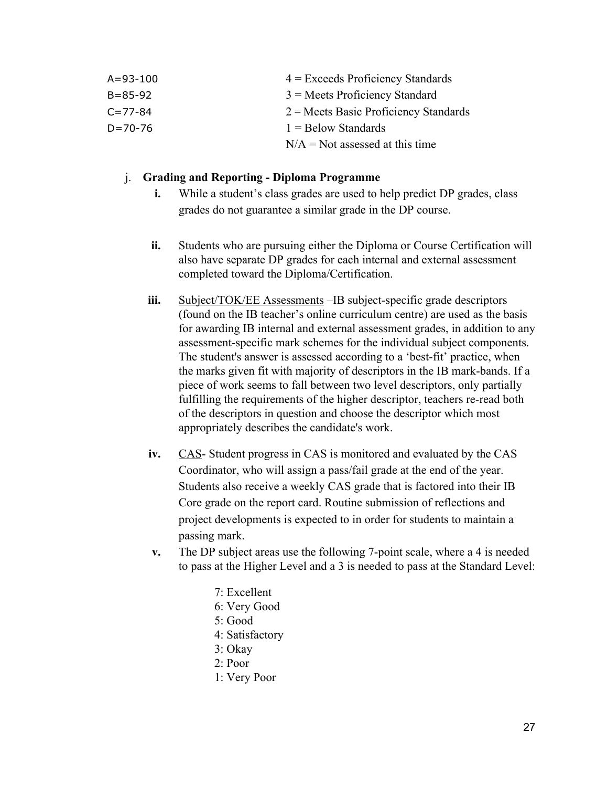| $A = 93 - 100$ | $4$ = Exceeds Proficiency Standards     |
|----------------|-----------------------------------------|
| $B = 85 - 92$  | $3$ = Meets Proficiency Standard        |
| $C = 77 - 84$  | $2$ = Meets Basic Proficiency Standards |
| $D = 70 - 76$  | $1 =$ Below Standards                   |
|                | $N/A = Not$ assessed at this time       |

#### j. **Grading and Reporting - Diploma Programme**

- **i.** While a student's class grades are used to help predict DP grades, class grades do not guarantee a similar grade in the DP course.
- **ii.** Students who are pursuing either the Diploma or Course Certification will also have separate DP grades for each internal and external assessment completed toward the Diploma/Certification.
- iii. Subject/TOK/EE Assessments –IB subject-specific grade descriptors (found on the IB teacher's online curriculum centre) are used as the basis for awarding IB internal and external assessment grades, in addition to any assessment-specific mark schemes for the individual subject components. The student's answer is assessed according to a 'best-fit' practice, when the marks given fit with majority of descriptors in the IB mark-bands. If a piece of work seems to fall between two level descriptors, only partially fulfilling the requirements of the higher descriptor, teachers re-read both of the descriptors in question and choose the descriptor which most appropriately describes the candidate's work.
- **iv.** CAS- Student progress in CAS is monitored and evaluated by the CAS Coordinator, who will assign a pass/fail grade at the end of the year. Students also receive a weekly CAS grade that is factored into their IB Core grade on the report card. Routine submission of reflections and project developments is expected to in order for students to maintain a passing mark.
- **v.** The DP subject areas use the following 7-point scale, where a 4 is needed to pass at the Higher Level and a 3 is needed to pass at the Standard Level:
	- 7: Excellent
	- 6: Very Good
	- 5: Good
	- 4: Satisfactory
	- 3: Okay
	- 2: Poor
	- 1: Very Poor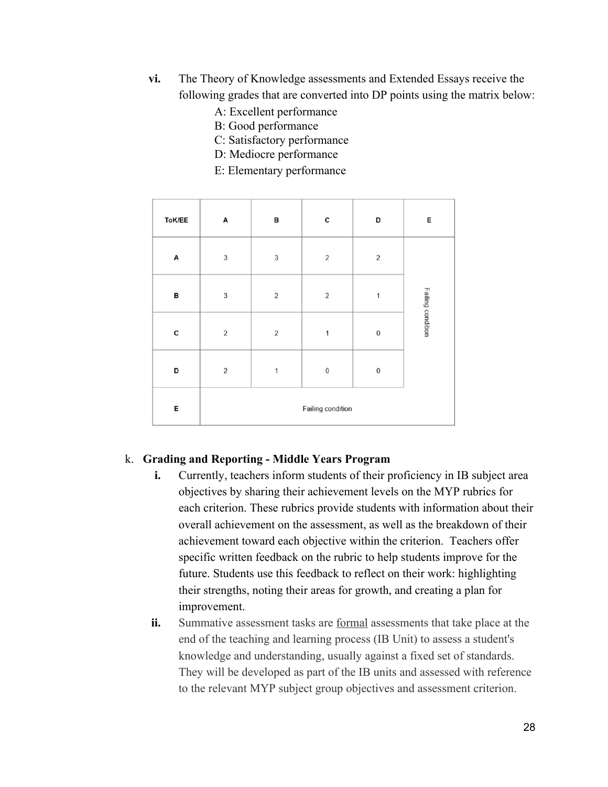- **vi.** The Theory of Knowledge assessments and Extended Essays receive the following grades that are converted into DP points using the matrix below:
	- A: Excellent performance
	- B: Good performance
	- C: Satisfactory performance
	- D: Mediocre performance
	- E: Elementary performance

| ToK/EE | А                       | в              | с              | D          | Е                 |
|--------|-------------------------|----------------|----------------|------------|-------------------|
| A      | $\sqrt{3}$              | 3              | $\sqrt{2}$     | $\sqrt{2}$ |                   |
| в      | 3                       | $\overline{2}$ | $\overline{2}$ | 1          | Failing condition |
| C      | $\overline{\mathbf{c}}$ | $\overline{c}$ | 1              | $\bf{0}$   |                   |
| D      | $\overline{\mathbf{2}}$ | 1              | $\bf 0$        | $\bf 0$    |                   |
| E      | Failing condition       |                |                |            |                   |

#### k. **Grading and Reporting - Middle Years Program**

- **i.** Currently, teachers inform students of their proficiency in IB subject area objectives by sharing their achievement levels on the MYP rubrics for each criterion. These rubrics provide students with information about their overall achievement on the assessment, as well as the breakdown of their achievement toward each objective within the criterion. Teachers offer specific written feedback on the rubric to help students improve for the future. Students use this feedback to reflect on their work: highlighting their strengths, noting their areas for growth, and creating a plan for improvement.
- **ii.** Summative assessment tasks are formal assessments that take place at the end of the teaching and learning process (IB Unit) to assess a student's knowledge and understanding, usually against a fixed set of standards. They will be developed as part of the IB units and assessed with reference to the relevant MYP subject group objectives and assessment criterion.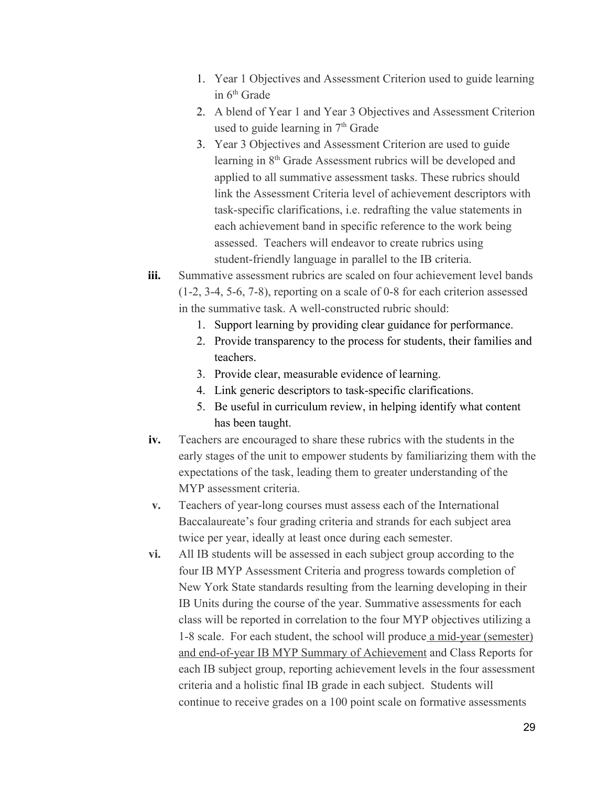- 1. Year 1 Objectives and Assessment Criterion used to guide learning in 6<sup>th</sup> Grade
- 2. A blend of Year 1 and Year 3 Objectives and Assessment Criterion used to guide learning in 7<sup>th</sup> Grade
- 3. Year 3 Objectives and Assessment Criterion are used to guide learning in 8<sup>th</sup> Grade Assessment rubrics will be developed and applied to all summative assessment tasks. These rubrics should link the Assessment Criteria level of achievement descriptors with task-specific clarifications, i.e. redrafting the value statements in each achievement band in specific reference to the work being assessed. Teachers will endeavor to create rubrics using student-friendly language in parallel to the IB criteria.
- **iii.** Summative assessment rubrics are scaled on four achievement level bands (1-2, 3-4, 5-6, 7-8), reporting on a scale of 0-8 for each criterion assessed in the summative task. A well-constructed rubric should:
	- 1. Support learning by providing clear guidance for performance.
	- 2. Provide transparency to the process for students, their families and teachers.
	- 3. Provide clear, measurable evidence of learning.
	- 4. Link generic descriptors to task-specific clarifications.
	- 5. Be useful in curriculum review, in helping identify what content has been taught.
- **iv.** Teachers are encouraged to share these rubrics with the students in the early stages of the unit to empower students by familiarizing them with the expectations of the task, leading them to greater understanding of the MYP assessment criteria.
- **v.** Teachers of year-long courses must assess each of the International Baccalaureate's four grading criteria and strands for each subject area twice per year, ideally at least once during each semester.
- **vi.** All IB students will be assessed in each subject group according to the four IB MYP Assessment Criteria and progress towards completion of New York State standards resulting from the learning developing in their IB Units during the course of the year. Summative assessments for each class will be reported in correlation to the four MYP objectives utilizing a 1-8 scale. For each student, the school will produce a mid-year (semester) and end-of-year IB MYP Summary of Achievement and Class Reports for each IB subject group, reporting achievement levels in the four assessment criteria and a holistic final IB grade in each subject. Students will continue to receive grades on a 100 point scale on formative assessments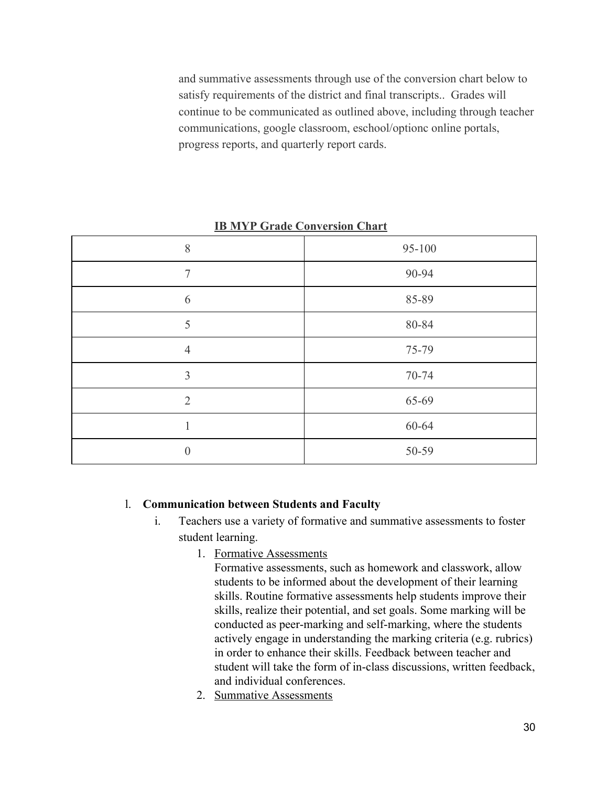and summative assessments through use of the conversion chart below to satisfy requirements of the district and final transcripts.. Grades will continue to be communicated as outlined above, including through teacher communications, google classroom, eschool/optionc online portals, progress reports, and quarterly report cards.

| 95-100 |
|--------|
| 90-94  |
| 85-89  |
| 80-84  |
| 75-79  |
| 70-74  |
| 65-69  |
| 60-64  |
| 50-59  |
|        |

**IB MYP Grade Conversion Chart**

#### l. **Communication between Students and Faculty**

- i. Teachers use a variety of formative and summative assessments to foster student learning.
	- 1. Formative Assessments
		- Formative assessments, such as homework and classwork, allow students to be informed about the development of their learning skills. Routine formative assessments help students improve their skills, realize their potential, and set goals. Some marking will be conducted as peer-marking and self-marking, where the students actively engage in understanding the marking criteria (e.g. rubrics) in order to enhance their skills. Feedback between teacher and student will take the form of in-class discussions, written feedback, and individual conferences.
	- 2. Summative Assessments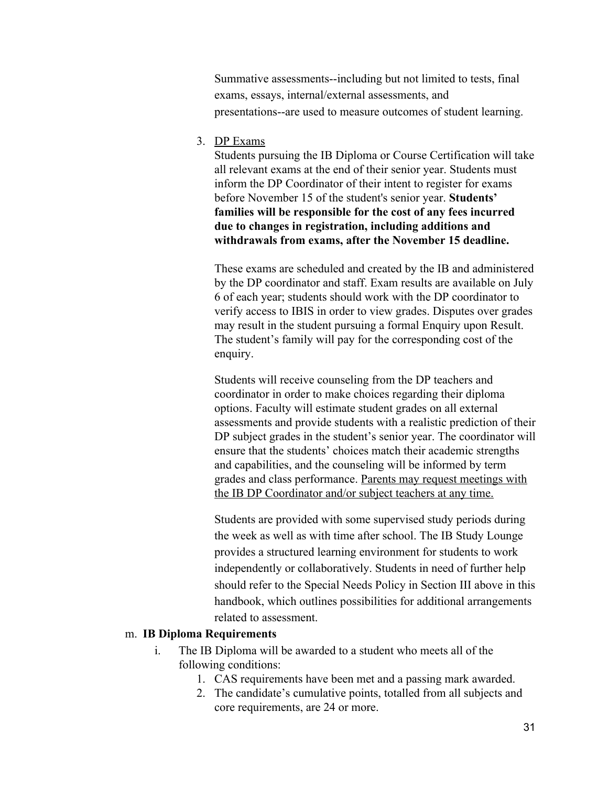Summative assessments--including but not limited to tests, final exams, essays, internal/external assessments, and presentations--are used to measure outcomes of student learning.

3. DP Exams

Students pursuing the IB Diploma or Course Certification will take all relevant exams at the end of their senior year. Students must inform the DP Coordinator of their intent to register for exams before November 15 of the student's senior year. **Students' families will be responsible for the cost of any fees incurred due to changes in registration, including additions and withdrawals from exams, after the November 15 deadline.**

These exams are scheduled and created by the IB and administered by the DP coordinator and staff. Exam results are available on July 6 of each year; students should work with the DP coordinator to verify access to IBIS in order to view grades. Disputes over grades may result in the student pursuing a formal Enquiry upon Result. The student's family will pay for the corresponding cost of the enquiry.

Students will receive counseling from the DP teachers and coordinator in order to make choices regarding their diploma options. Faculty will estimate student grades on all external assessments and provide students with a realistic prediction of their DP subject grades in the student's senior year. The coordinator will ensure that the students' choices match their academic strengths and capabilities, and the counseling will be informed by term grades and class performance. Parents may request meetings with the IB DP Coordinator and/or subject teachers at any time.

Students are provided with some supervised study periods during the week as well as with time after school. The IB Study Lounge provides a structured learning environment for students to work independently or collaboratively. Students in need of further help should refer to the Special Needs Policy in Section III above in this handbook, which outlines possibilities for additional arrangements related to assessment.

#### m. **IB Diploma Requirements**

- i. The IB Diploma will be awarded to a student who meets all of the following conditions:
	- 1. CAS requirements have been met and a passing mark awarded.
	- 2. The candidate's cumulative points, totalled from all subjects and core requirements, are 24 or more.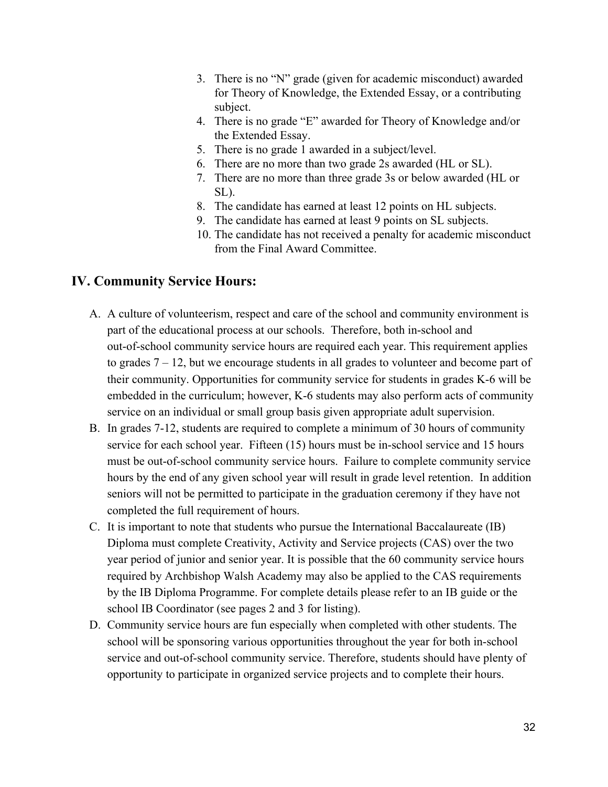- 3. There is no "N" grade (given for academic misconduct) awarded for Theory of Knowledge, the Extended Essay, or a contributing subject.
- 4. There is no grade "E" awarded for Theory of Knowledge and/or the Extended Essay.
- 5. There is no grade 1 awarded in a subject/level.
- 6. There are no more than two grade 2s awarded (HL or SL).
- 7. There are no more than three grade 3s or below awarded (HL or SL).
- 8. The candidate has earned at least 12 points on HL subjects.
- 9. The candidate has earned at least 9 points on SL subjects.
- 10. The candidate has not received a penalty for academic misconduct from the Final Award Committee.

#### **IV. Community Service Hours:**

- A. A culture of volunteerism, respect and care of the school and community environment is part of the educational process at our schools. Therefore, both in-school and out-of-school community service hours are required each year. This requirement applies to grades 7 – 12, but we encourage students in all grades to volunteer and become part of their community. Opportunities for community service for students in grades K-6 will be embedded in the curriculum; however, K-6 students may also perform acts of community service on an individual or small group basis given appropriate adult supervision.
- B. In grades 7-12, students are required to complete a minimum of 30 hours of community service for each school year. Fifteen (15) hours must be in-school service and 15 hours must be out-of-school community service hours. Failure to complete community service hours by the end of any given school year will result in grade level retention. In addition seniors will not be permitted to participate in the graduation ceremony if they have not completed the full requirement of hours.
- C. It is important to note that students who pursue the International Baccalaureate (IB) Diploma must complete Creativity, Activity and Service projects (CAS) over the two year period of junior and senior year. It is possible that the 60 community service hours required by Archbishop Walsh Academy may also be applied to the CAS requirements by the IB Diploma Programme. For complete details please refer to an IB guide or the school IB Coordinator (see pages 2 and 3 for listing).
- D. Community service hours are fun especially when completed with other students. The school will be sponsoring various opportunities throughout the year for both in-school service and out-of-school community service. Therefore, students should have plenty of opportunity to participate in organized service projects and to complete their hours.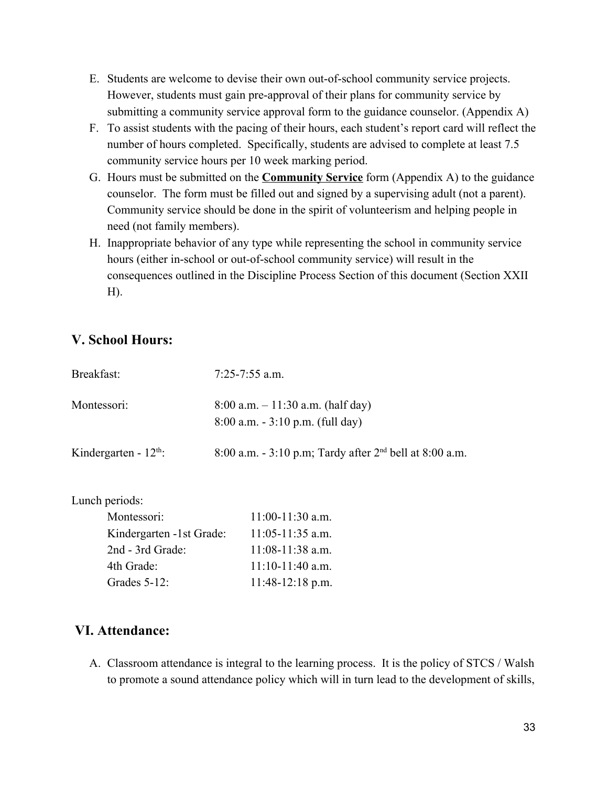- E. Students are welcome to devise their own out-of-school community service projects. However, students must gain pre-approval of their plans for community service by submitting a community service approval form to the guidance counselor. (Appendix A)
- F. To assist students with the pacing of their hours, each student's report card will reflect the number of hours completed. Specifically, students are advised to complete at least 7.5 community service hours per 10 week marking period.
- G. Hours must be submitted on the **Community Service** form (Appendix A) to the guidance counselor. The form must be filled out and signed by a supervising adult (not a parent). Community service should be done in the spirit of volunteerism and helping people in need (not family members).
- H. Inappropriate behavior of any type while representing the school in community service hours (either in-school or out-of-school community service) will result in the consequences outlined in the Discipline Process Section of this document (Section XXII H).

## **V. School Hours:**

| Breakfast:                        | $7:25 - 7:55$ a.m.                                                          |
|-----------------------------------|-----------------------------------------------------------------------------|
| Montessori:                       | $8:00$ a.m. $-11:30$ a.m. (half day)<br>$8:00$ a.m. $-3:10$ p.m. (full day) |
| Kindergarten - $12^{\text{th}}$ : | 8:00 a.m. - 3:10 p.m; Tardy after $2nd$ bell at 8:00 a.m.                   |

Lunch periods:

| Montessori:              | $11:00-11:30$ a.m. |
|--------------------------|--------------------|
| Kindergarten -1st Grade: | $11:05-11:35$ a.m. |
| 2nd - 3rd Grade:         | $11:08-11:38$ a.m. |
| 4th Grade:               | $11:10-11:40$ a.m. |
| Grades 5-12:             | $11:48-12:18$ p.m. |

## **VI. Attendance:**

A. Classroom attendance is integral to the learning process. It is the policy of STCS / Walsh to promote a sound attendance policy which will in turn lead to the development of skills,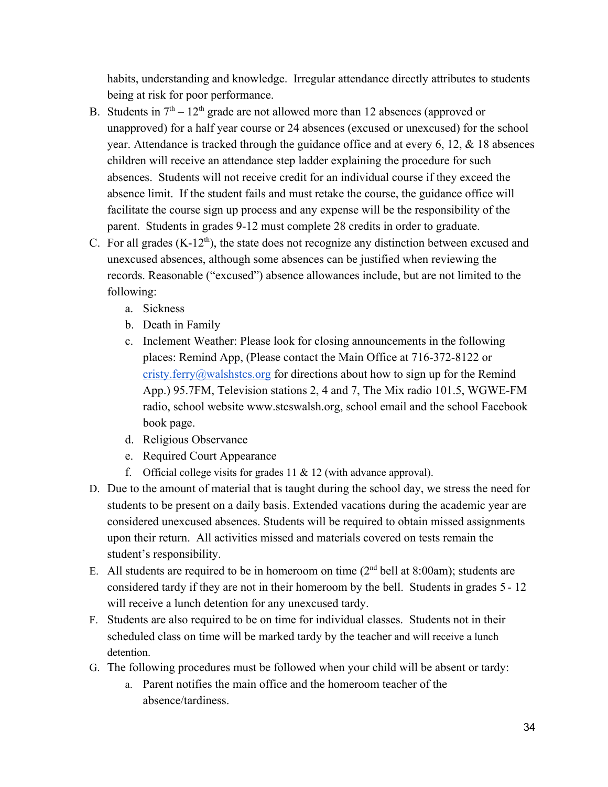habits, understanding and knowledge. Irregular attendance directly attributes to students being at risk for poor performance.

- B. Students in  $7<sup>th</sup> 12<sup>th</sup>$  grade are not allowed more than 12 absences (approved or unapproved) for a half year course or 24 absences (excused or unexcused) for the school year. Attendance is tracked through the guidance office and at every 6, 12, & 18 absences children will receive an attendance step ladder explaining the procedure for such absences. Students will not receive credit for an individual course if they exceed the absence limit. If the student fails and must retake the course, the guidance office will facilitate the course sign up process and any expense will be the responsibility of the parent. Students in grades 9-12 must complete 28 credits in order to graduate.
- C. For all grades  $(K-12<sup>th</sup>)$ , the state does not recognize any distinction between excused and unexcused absences, although some absences can be justified when reviewing the records. Reasonable ("excused") absence allowances include, but are not limited to the following:
	- a. Sickness
	- b. Death in Family
	- c. Inclement Weather: Please look for closing announcements in the following places: Remind App, (Please contact the Main Office at 716-372-8122 or [cristy.ferry@walshstcs.org](mailto:cristy.ferry@walshstcs.org) for directions about how to sign up for the Remind App.) 95.7FM, Television stations 2, 4 and 7, The Mix radio 101.5, WGWE-FM radio, school website www.stcswalsh.org, school email and the school Facebook book page.
	- d. Religious Observance
	- e. Required Court Appearance
	- f. Official college visits for grades  $11 \& 12$  (with advance approval).
- D. Due to the amount of material that is taught during the school day, we stress the need for students to be present on a daily basis. Extended vacations during the academic year are considered unexcused absences. Students will be required to obtain missed assignments upon their return. All activities missed and materials covered on tests remain the student's responsibility.
- E. All students are required to be in homeroom on time  $(2<sup>nd</sup>$  bell at 8:00am); students are considered tardy if they are not in their homeroom by the bell. Students in grades 5 - 12 will receive a lunch detention for any unexcused tardy.
- F. Students are also required to be on time for individual classes. Students not in their scheduled class on time will be marked tardy by the teacher and will receive a lunch detention.
- G. The following procedures must be followed when your child will be absent or tardy:
	- a. Parent notifies the main office and the homeroom teacher of the absence/tardiness.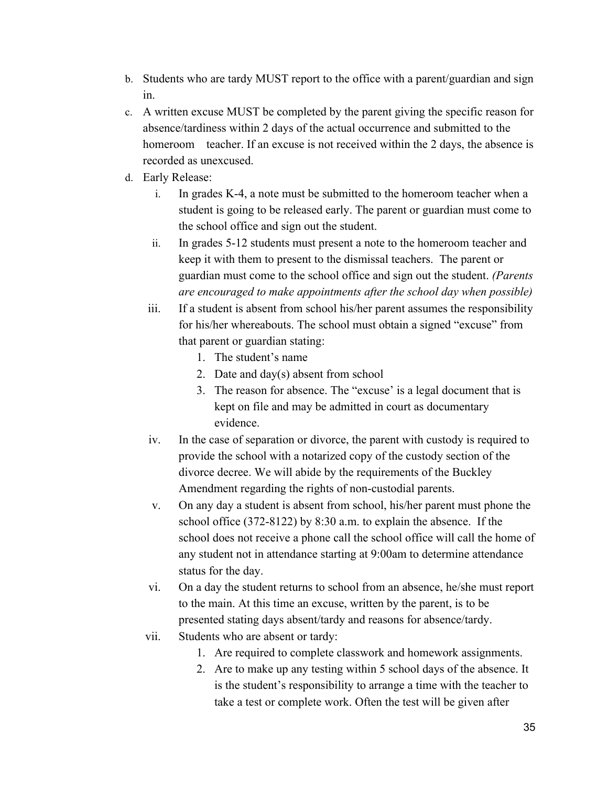- b. Students who are tardy MUST report to the office with a parent/guardian and sign in.
- c. A written excuse MUST be completed by the parent giving the specific reason for absence/tardiness within 2 days of the actual occurrence and submitted to the homeroom teacher. If an excuse is not received within the 2 days, the absence is recorded as unexcused.
- d. Early Release:
	- i. In grades K-4, a note must be submitted to the homeroom teacher when a student is going to be released early. The parent or guardian must come to the school office and sign out the student.
	- ii. In grades 5-12 students must present a note to the homeroom teacher and keep it with them to present to the dismissal teachers. The parent or guardian must come to the school office and sign out the student. *(Parents are encouraged to make appointments after the school day when possible)*
	- iii. If a student is absent from school his/her parent assumes the responsibility for his/her whereabouts. The school must obtain a signed "excuse" from that parent or guardian stating:
		- 1. The student's name
		- 2. Date and day(s) absent from school
		- 3. The reason for absence. The "excuse' is a legal document that is kept on file and may be admitted in court as documentary evidence.
	- iv. In the case of separation or divorce, the parent with custody is required to provide the school with a notarized copy of the custody section of the divorce decree. We will abide by the requirements of the Buckley Amendment regarding the rights of non-custodial parents.
	- v. On any day a student is absent from school, his/her parent must phone the school office (372-8122) by 8:30 a.m. to explain the absence. If the school does not receive a phone call the school office will call the home of any student not in attendance starting at 9:00am to determine attendance status for the day.
	- vi. On a day the student returns to school from an absence, he/she must report to the main. At this time an excuse, written by the parent, is to be presented stating days absent/tardy and reasons for absence/tardy.
	- vii. Students who are absent or tardy:
		- 1. Are required to complete classwork and homework assignments.
		- 2. Are to make up any testing within 5 school days of the absence. It is the student's responsibility to arrange a time with the teacher to take a test or complete work. Often the test will be given after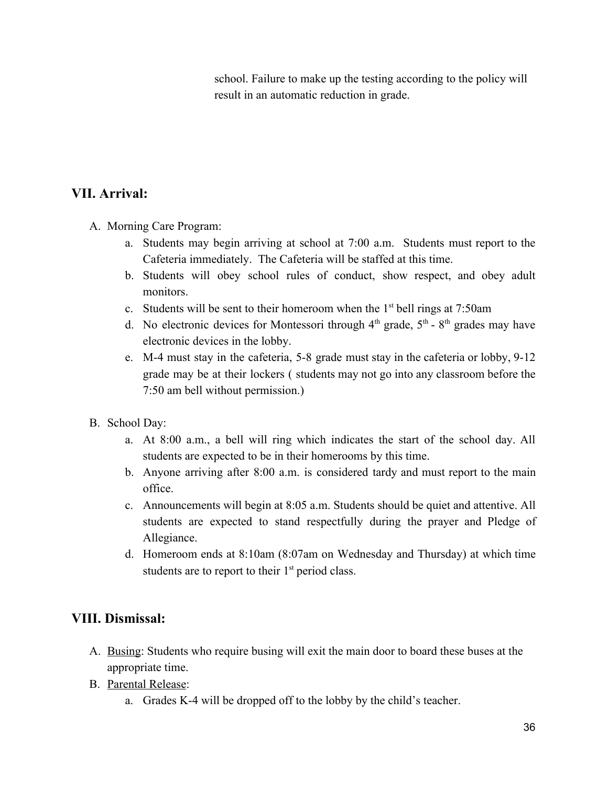school. Failure to make up the testing according to the policy will result in an automatic reduction in grade.

## **VII. Arrival:**

- A. Morning Care Program:
	- a. Students may begin arriving at school at 7:00 a.m. Students must report to the Cafeteria immediately. The Cafeteria will be staffed at this time.
	- b. Students will obey school rules of conduct, show respect, and obey adult monitors.
	- c. Students will be sent to their homeroom when the  $1<sup>st</sup>$  bell rings at 7:50am
	- d. No electronic devices for Montessori through  $4<sup>th</sup>$  grade,  $5<sup>th</sup>$   $8<sup>th</sup>$  grades may have electronic devices in the lobby.
	- e. M-4 must stay in the cafeteria, 5-8 grade must stay in the cafeteria or lobby, 9-12 grade may be at their lockers ( students may not go into any classroom before the 7:50 am bell without permission.)
- B. School Day:
	- a. At 8:00 a.m., a bell will ring which indicates the start of the school day. All students are expected to be in their homerooms by this time.
	- b. Anyone arriving after 8:00 a.m. is considered tardy and must report to the main office.
	- c. Announcements will begin at 8:05 a.m. Students should be quiet and attentive. All students are expected to stand respectfully during the prayer and Pledge of Allegiance.
	- d. Homeroom ends at 8:10am (8:07am on Wednesday and Thursday) at which time students are to report to their  $1<sup>st</sup>$  period class.

## **VIII. Dismissal:**

- A. Busing: Students who require busing will exit the main door to board these buses at the appropriate time.
- B. Parental Release:
	- a. Grades K-4 will be dropped off to the lobby by the child's teacher.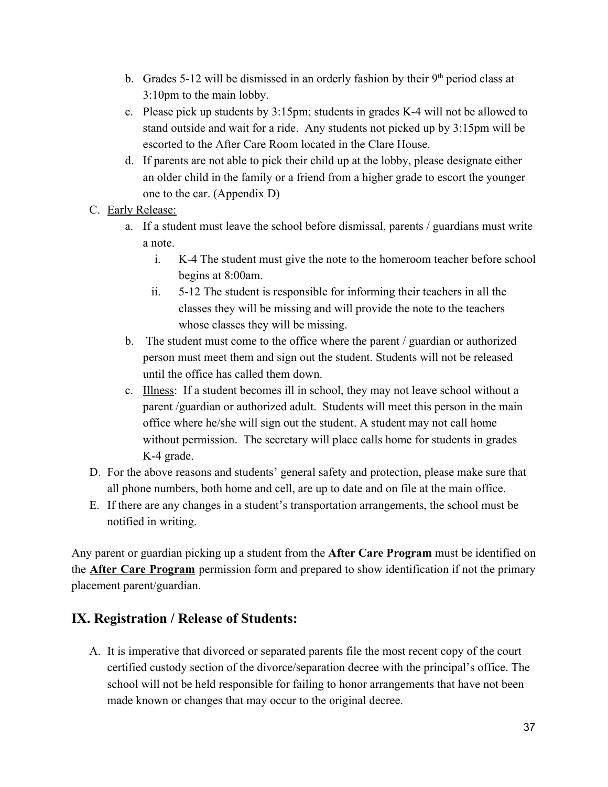- b. Grades 5-12 will be dismissed in an orderly fashion by their  $9<sup>th</sup>$  period class at 3:10pm to the main lobby.
- c. Please pick up students by 3:15pm; students in grades K-4 will not be allowed to stand outside and wait for a ride. Any students not picked up by 3:15pm will be escorted to the After Care Room located in the Clare House.
- d. If parents are not able to pick their child up at the lobby, please designate either an older child in the family or a friend from a higher grade to escort the younger one to the car. (Appendix D)
- C. Early Release:
	- a. If a student must leave the school before dismissal, parents / guardians must write a note.
		- i. K-4 The student must give the note to the homeroom teacher before school begins at 8:00am.
		- ii. 5-12 The student is responsible for informing their teachers in all the classes they will be missing and will provide the note to the teachers whose classes they will be missing.
	- b. The student must come to the office where the parent / guardian or authorized person must meet them and sign out the student. Students will not be released until the office has called them down.
	- c. Illness: If a student becomes ill in school, they may not leave school without a parent /guardian or authorized adult. Students will meet this person in the main office where he/she will sign out the student. A student may not call home without permission. The secretary will place calls home for students in grades K-4 grade.
- D. For the above reasons and students' general safety and protection, please make sure that all phone numbers, both home and cell, are up to date and on file at the main office.
- E. If there are any changes in a student's transportation arrangements, the school must be notified in writing.

Any parent or guardian picking up a student from the **After Care Program** must be identified on the **After Care Program** permission form and prepared to show identification if not the primary placement parent/guardian.

## **IX. Registration / Release of Students:**

A. It is imperative that divorced or separated parents file the most recent copy of the court certified custody section of the divorce/separation decree with the principal's office. The school will not be held responsible for failing to honor arrangements that have not been made known or changes that may occur to the original decree.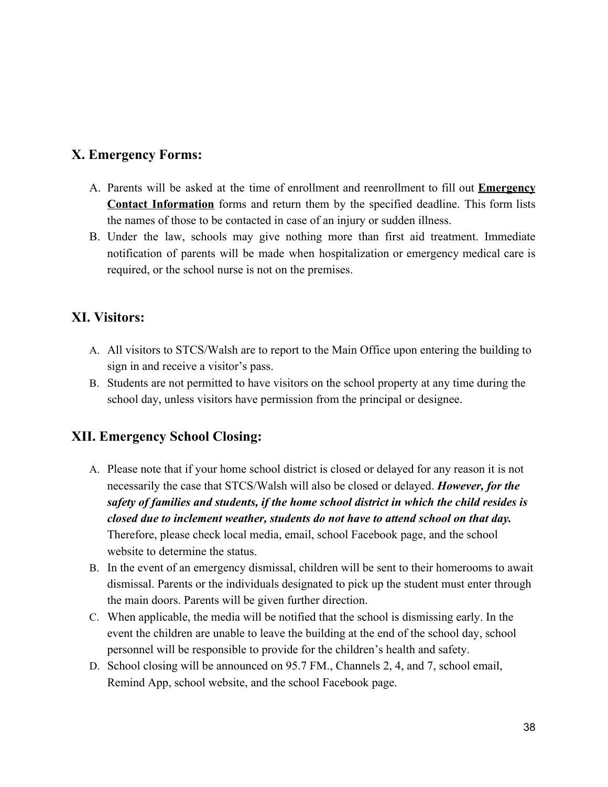## **X. Emergency Forms:**

- A. Parents will be asked at the time of enrollment and reenrollment to fill out **Emergency Contact Information** forms and return them by the specified deadline. This form lists the names of those to be contacted in case of an injury or sudden illness.
- B. Under the law, schools may give nothing more than first aid treatment. Immediate notification of parents will be made when hospitalization or emergency medical care is required, or the school nurse is not on the premises.

## **XI. Visitors:**

- A. All visitors to STCS/Walsh are to report to the Main Office upon entering the building to sign in and receive a visitor's pass.
- B. Students are not permitted to have visitors on the school property at any time during the school day, unless visitors have permission from the principal or designee.

## **XII. Emergency School Closing:**

- A. Please note that if your home school district is closed or delayed for any reason it is not necessarily the case that STCS/Walsh will also be closed or delayed. *However, for the safety of families and students, if the home school district in which the child resides is closed due to inclement weather, students do not have to attend school on that day.* Therefore, please check local media, email, school Facebook page, and the school website to determine the status.
- B. In the event of an emergency dismissal, children will be sent to their homerooms to await dismissal. Parents or the individuals designated to pick up the student must enter through the main doors. Parents will be given further direction.
- C. When applicable, the media will be notified that the school is dismissing early. In the event the children are unable to leave the building at the end of the school day, school personnel will be responsible to provide for the children's health and safety.
- D. School closing will be announced on 95.7 FM., Channels 2, 4, and 7, school email, Remind App, school website, and the school Facebook page.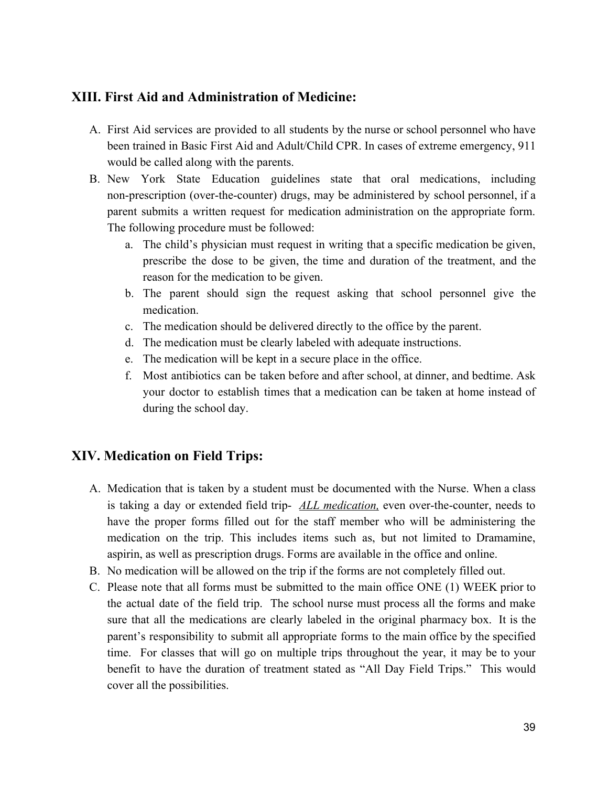#### **XIII. First Aid and Administration of Medicine:**

- A. First Aid services are provided to all students by the nurse or school personnel who have been trained in Basic First Aid and Adult/Child CPR. In cases of extreme emergency, 911 would be called along with the parents.
- B. New York State Education guidelines state that oral medications, including non-prescription (over-the-counter) drugs, may be administered by school personnel, if a parent submits a written request for medication administration on the appropriate form. The following procedure must be followed:
	- a. The child's physician must request in writing that a specific medication be given, prescribe the dose to be given, the time and duration of the treatment, and the reason for the medication to be given.
	- b. The parent should sign the request asking that school personnel give the medication.
	- c. The medication should be delivered directly to the office by the parent.
	- d. The medication must be clearly labeled with adequate instructions.
	- e. The medication will be kept in a secure place in the office.
	- f. Most antibiotics can be taken before and after school, at dinner, and bedtime. Ask your doctor to establish times that a medication can be taken at home instead of during the school day.

## **XIV. Medication on Field Trips:**

- A. Medication that is taken by a student must be documented with the Nurse. When a class is taking a day or extended field trip- *ALL medication,* even over-the-counter, needs to have the proper forms filled out for the staff member who will be administering the medication on the trip. This includes items such as, but not limited to Dramamine, aspirin, as well as prescription drugs. Forms are available in the office and online.
- B. No medication will be allowed on the trip if the forms are not completely filled out.
- C. Please note that all forms must be submitted to the main office ONE (1) WEEK prior to the actual date of the field trip. The school nurse must process all the forms and make sure that all the medications are clearly labeled in the original pharmacy box. It is the parent's responsibility to submit all appropriate forms to the main office by the specified time. For classes that will go on multiple trips throughout the year, it may be to your benefit to have the duration of treatment stated as "All Day Field Trips." This would cover all the possibilities.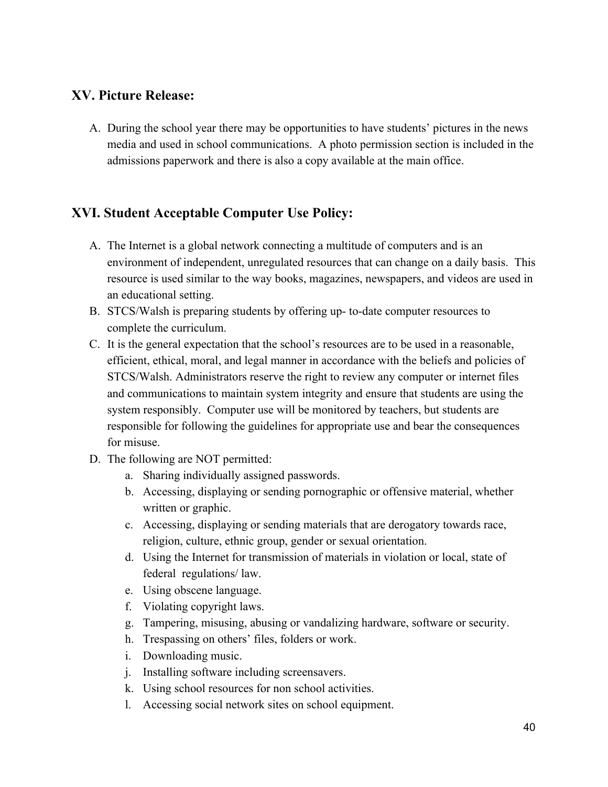## **XV. Picture Release:**

A. During the school year there may be opportunities to have students' pictures in the news media and used in school communications. A photo permission section is included in the admissions paperwork and there is also a copy available at the main office.

## **XVI. Student Acceptable Computer Use Policy:**

- A. The Internet is a global network connecting a multitude of computers and is an environment of independent, unregulated resources that can change on a daily basis. This resource is used similar to the way books, magazines, newspapers, and videos are used in an educational setting.
- B. STCS/Walsh is preparing students by offering up- to-date computer resources to complete the curriculum.
- C. It is the general expectation that the school's resources are to be used in a reasonable, efficient, ethical, moral, and legal manner in accordance with the beliefs and policies of STCS/Walsh. Administrators reserve the right to review any computer or internet files and communications to maintain system integrity and ensure that students are using the system responsibly. Computer use will be monitored by teachers, but students are responsible for following the guidelines for appropriate use and bear the consequences for misuse.
- D. The following are NOT permitted:
	- a. Sharing individually assigned passwords.
	- b. Accessing, displaying or sending pornographic or offensive material, whether written or graphic.
	- c. Accessing, displaying or sending materials that are derogatory towards race, religion, culture, ethnic group, gender or sexual orientation.
	- d. Using the Internet for transmission of materials in violation or local, state of federal regulations/ law.
	- e. Using obscene language.
	- f. Violating copyright laws.
	- g. Tampering, misusing, abusing or vandalizing hardware, software or security.
	- h. Trespassing on others' files, folders or work.
	- i. Downloading music.
	- j. Installing software including screensavers.
	- k. Using school resources for non school activities.
	- l. Accessing social network sites on school equipment.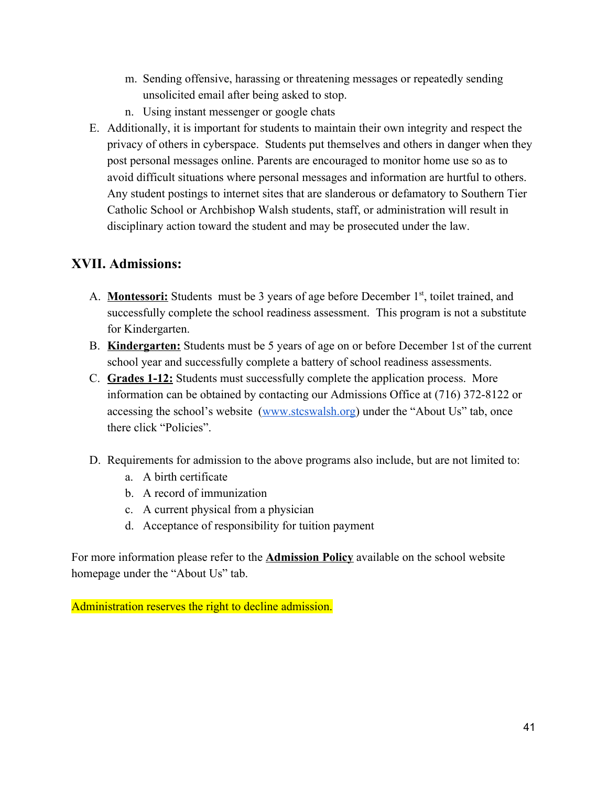- m. Sending offensive, harassing or threatening messages or repeatedly sending unsolicited email after being asked to stop.
- n. Using instant messenger or google chats
- E. Additionally, it is important for students to maintain their own integrity and respect the privacy of others in cyberspace. Students put themselves and others in danger when they post personal messages online. Parents are encouraged to monitor home use so as to avoid difficult situations where personal messages and information are hurtful to others. Any student postings to internet sites that are slanderous or defamatory to Southern Tier Catholic School or Archbishop Walsh students, staff, or administration will result in disciplinary action toward the student and may be prosecuted under the law.

## **XVII. Admissions:**

- A. **Montessori:** Students must be 3 years of age before December 1<sup>st</sup>, toilet trained, and successfully complete the school readiness assessment. This program is not a substitute for Kindergarten.
- B. **Kindergarten:** Students must be 5 years of age on or before December 1st of the current school year and successfully complete a battery of school readiness assessments.
- C. **Grades 1-12:** Students must successfully complete the application process. More information can be obtained by contacting our Admissions Office at (716) 372-8122 or accessing the school's website [\(www.stcswalsh.org](http://www.stcswalsh.org/)) under the "About Us" tab, once there click "Policies".
- D. Requirements for admission to the above programs also include, but are not limited to:
	- a. A birth certificate
	- b. A record of immunization
	- c. A current physical from a physician
	- d. Acceptance of responsibility for tuition payment

For more information please refer to the **Admission Policy** available on the school website homepage under the "About Us" tab.

Administration reserves the right to decline admission.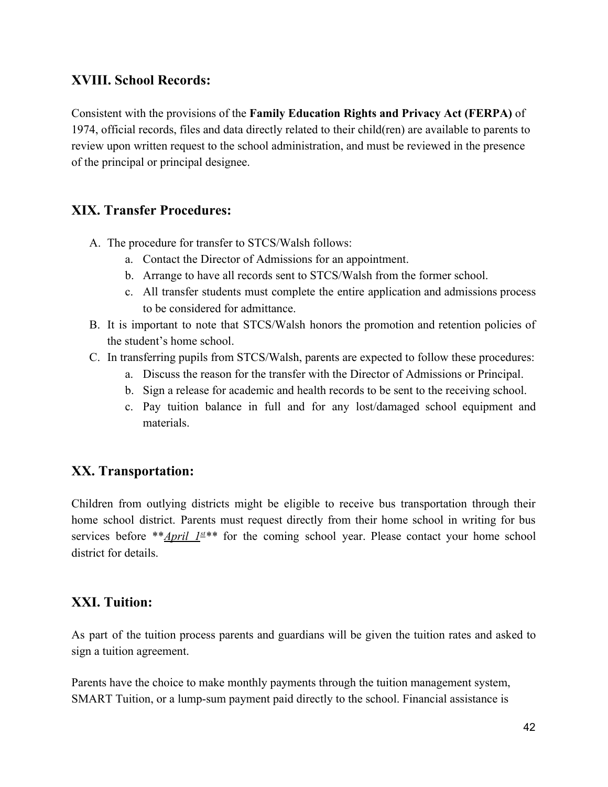#### **XVIII. School Records:**

Consistent with the provisions of the **Family Education Rights and Privacy Act (FERPA)** of 1974, official records, files and data directly related to their child(ren) are available to parents to review upon written request to the school administration, and must be reviewed in the presence of the principal or principal designee.

## **XIX. Transfer Procedures:**

- A. The procedure for transfer to STCS/Walsh follows:
	- a. Contact the Director of Admissions for an appointment.
	- b. Arrange to have all records sent to STCS/Walsh from the former school.
	- c. All transfer students must complete the entire application and admissions process to be considered for admittance.
- B. It is important to note that STCS/Walsh honors the promotion and retention policies of the student's home school.
- C. In transferring pupils from STCS/Walsh, parents are expected to follow these procedures:
	- a. Discuss the reason for the transfer with the Director of Admissions or Principal.
	- b. Sign a release for academic and health records to be sent to the receiving school.
	- c. Pay tuition balance in full and for any lost/damaged school equipment and materials.

## **XX. Transportation:**

Children from outlying districts might be eligible to receive bus transportation through their home school district. Parents must request directly from their home school in writing for bus services before \*\**April 1<sup>st</sup>*\*\* for the coming school year. Please contact your home school district for details.

#### **XXI. Tuition:**

As part of the tuition process parents and guardians will be given the tuition rates and asked to sign a tuition agreement.

Parents have the choice to make monthly payments through the tuition management system, SMART Tuition, or a lump-sum payment paid directly to the school. Financial assistance is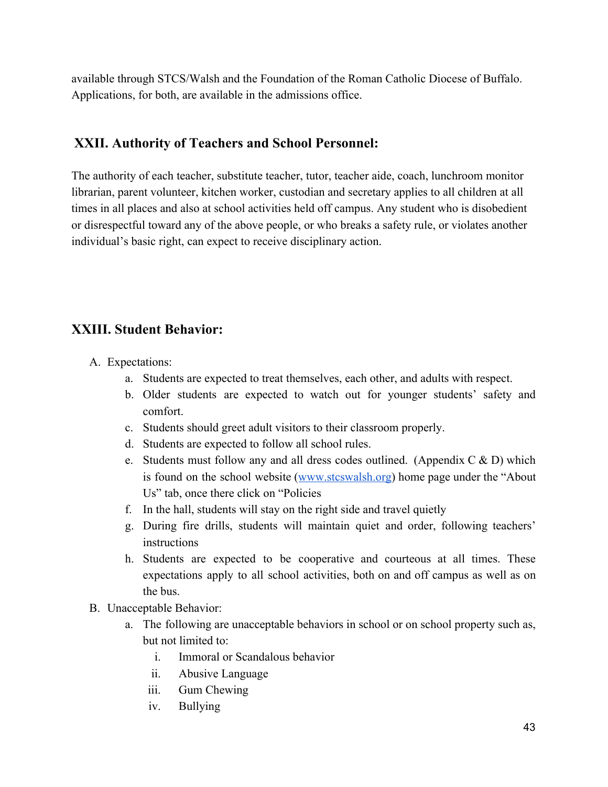available through STCS/Walsh and the Foundation of the Roman Catholic Diocese of Buffalo. Applications, for both, are available in the admissions office.

## **XXII. Authority of Teachers and School Personnel:**

The authority of each teacher, substitute teacher, tutor, teacher aide, coach, lunchroom monitor librarian, parent volunteer, kitchen worker, custodian and secretary applies to all children at all times in all places and also at school activities held off campus. Any student who is disobedient or disrespectful toward any of the above people, or who breaks a safety rule, or violates another individual's basic right, can expect to receive disciplinary action.

## **XXIII. Student Behavior:**

- A. Expectations:
	- a. Students are expected to treat themselves, each other, and adults with respect.
	- b. Older students are expected to watch out for younger students' safety and comfort.
	- c. Students should greet adult visitors to their classroom properly.
	- d. Students are expected to follow all school rules.
	- e. Students must follow any and all dress codes outlined. (Appendix  $C \& D$ ) which is found on the school website ([www.stcswalsh.org](http://www.stcswalsh.org/)) home page under the "About Us" tab, once there click on "Policies
	- f. In the hall, students will stay on the right side and travel quietly
	- g. During fire drills, students will maintain quiet and order, following teachers' instructions
	- h. Students are expected to be cooperative and courteous at all times. These expectations apply to all school activities, both on and off campus as well as on the bus.
- B. Unacceptable Behavior:
	- a. The following are unacceptable behaviors in school or on school property such as, but not limited to:
		- i. Immoral or Scandalous behavior
		- ii. Abusive Language
		- iii. Gum Chewing
		- iv. Bullying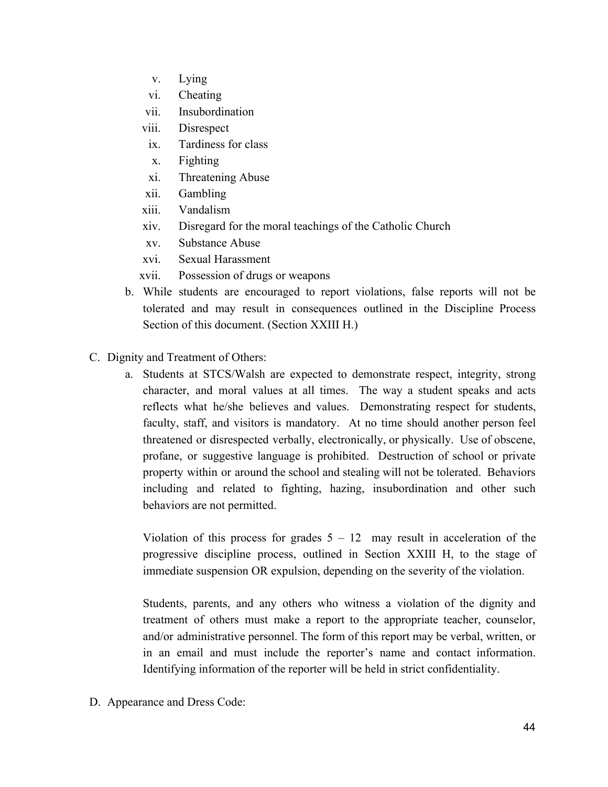- v. Lying
- vi. Cheating
- vii. Insubordination
- viii. Disrespect
- ix. Tardiness for class
- x. Fighting
- xi. Threatening Abuse
- xii. Gambling
- xiii. Vandalism
- xiv. Disregard for the moral teachings of the Catholic Church
- xv. Substance Abuse
- xvi. Sexual Harassment
- xvii. Possession of drugs or weapons
- b. While students are encouraged to report violations, false reports will not be tolerated and may result in consequences outlined in the Discipline Process Section of this document. (Section XXIII H.)
- C. Dignity and Treatment of Others:
	- a. Students at STCS/Walsh are expected to demonstrate respect, integrity, strong character, and moral values at all times. The way a student speaks and acts reflects what he/she believes and values. Demonstrating respect for students, faculty, staff, and visitors is mandatory. At no time should another person feel threatened or disrespected verbally, electronically, or physically. Use of obscene, profane, or suggestive language is prohibited. Destruction of school or private property within or around the school and stealing will not be tolerated. Behaviors including and related to fighting, hazing, insubordination and other such behaviors are not permitted.

Violation of this process for grades  $5 - 12$  may result in acceleration of the progressive discipline process, outlined in Section XXIII H, to the stage of immediate suspension OR expulsion, depending on the severity of the violation.

Students, parents, and any others who witness a violation of the dignity and treatment of others must make a report to the appropriate teacher, counselor, and/or administrative personnel. The form of this report may be verbal, written, or in an email and must include the reporter's name and contact information. Identifying information of the reporter will be held in strict confidentiality.

D. Appearance and Dress Code: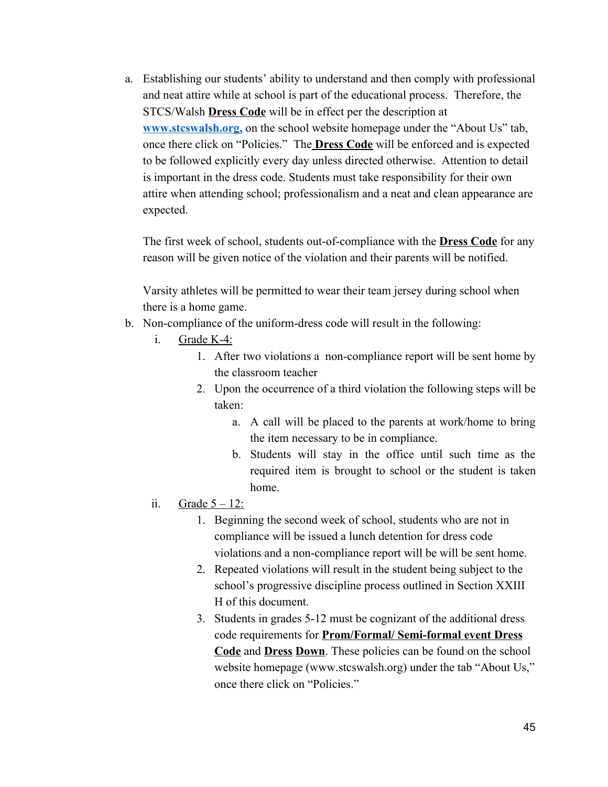a. Establishing our students' ability to understand and then comply with professional and neat attire while at school is part of the educational process. Therefore, the STCS/Walsh **Dress Code** will be in effect per the description at **[www.stcswalsh.org,](http://www.stcswalsh.org/)** on the school website homepage under the "About Us" tab, once there click on "Policies." The **Dress Code** will be enforced and is expected to be followed explicitly every day unless directed otherwise. Attention to detail is important in the dress code. Students must take responsibility for their own attire when attending school; professionalism and a neat and clean appearance are expected.

The first week of school, students out-of-compliance with the **Dress Code** for any reason will be given notice of the violation and their parents will be notified.

Varsity athletes will be permitted to wear their team jersey during school when there is a home game.

- b. Non-compliance of the uniform-dress code will result in the following:
	- i. Grade K-4:
		- 1. After two violations a non-compliance report will be sent home by the classroom teacher
		- 2. Upon the occurrence of a third violation the following steps will be taken:
			- a. A call will be placed to the parents at work/home to bring the item necessary to be in compliance.
			- b. Students will stay in the office until such time as the required item is brought to school or the student is taken home.
	- ii. Grade  $5 12$ :
		- 1. Beginning the second week of school, students who are not in compliance will be issued a lunch detention for dress code violations and a non-compliance report will be will be sent home.
		- 2. Repeated violations will result in the student being subject to the school's progressive discipline process outlined in Section XXIII H of this document.
		- 3. Students in grades 5-12 must be cognizant of the additional dress code requirements for **Prom/Formal/ Semi-formal event Dress Code** and **Dress Down**. These policies can be found on the school website homepage (www.stcswalsh.org) under the tab "About Us," once there click on "Policies."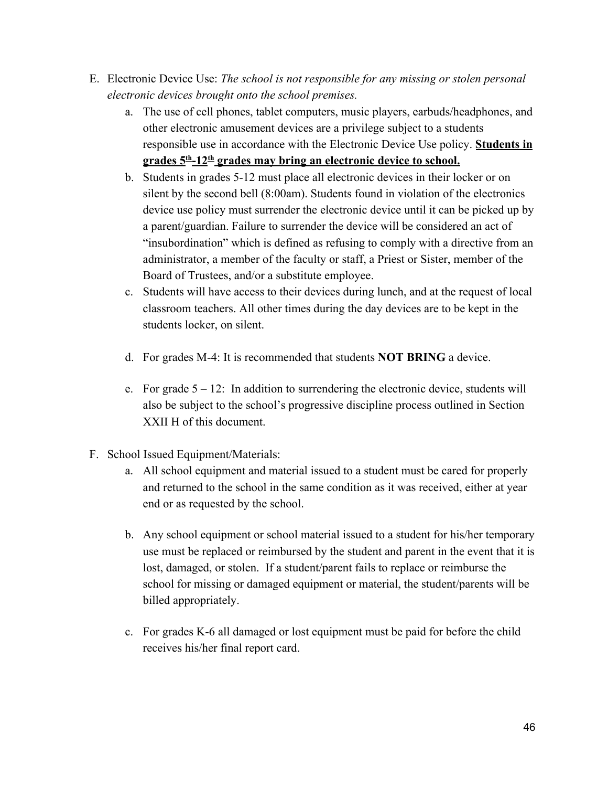- E. Electronic Device Use: *The school is not responsible for any missing or stolen personal electronic devices brought onto the school premises.*
	- a. The use of cell phones, tablet computers, music players, earbuds/headphones, and other electronic amusement devices are a privilege subject to a students responsible use in accordance with the Electronic Device Use policy. **Students in grades 5th -12th grades may bring an electronic device to school.**
	- b. Students in grades 5-12 must place all electronic devices in their locker or on silent by the second bell (8:00am). Students found in violation of the electronics device use policy must surrender the electronic device until it can be picked up by a parent/guardian. Failure to surrender the device will be considered an act of "insubordination" which is defined as refusing to comply with a directive from an administrator, a member of the faculty or staff, a Priest or Sister, member of the Board of Trustees, and/or a substitute employee.
	- c. Students will have access to their devices during lunch, and at the request of local classroom teachers. All other times during the day devices are to be kept in the students locker, on silent.
	- d. For grades M-4: It is recommended that students **NOT BRING** a device.
	- e. For grade  $5 12$ : In addition to surrendering the electronic device, students will also be subject to the school's progressive discipline process outlined in Section XXII H of this document.
- F. School Issued Equipment/Materials:
	- a. All school equipment and material issued to a student must be cared for properly and returned to the school in the same condition as it was received, either at year end or as requested by the school.
	- b. Any school equipment or school material issued to a student for his/her temporary use must be replaced or reimbursed by the student and parent in the event that it is lost, damaged, or stolen. If a student/parent fails to replace or reimburse the school for missing or damaged equipment or material, the student/parents will be billed appropriately.
	- c. For grades K-6 all damaged or lost equipment must be paid for before the child receives his/her final report card.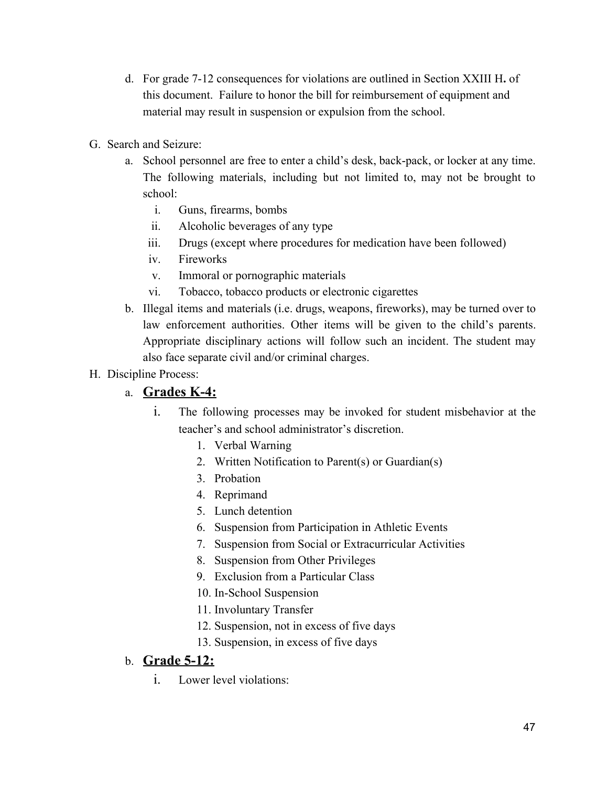- d. For grade 7-12 consequences for violations are outlined in Section XXIII H**.** of this document. Failure to honor the bill for reimbursement of equipment and material may result in suspension or expulsion from the school.
- G. Search and Seizure:
	- a. School personnel are free to enter a child's desk, back-pack, or locker at any time. The following materials, including but not limited to, may not be brought to school:
		- i. Guns, firearms, bombs
		- ii. Alcoholic beverages of any type
		- iii. Drugs (except where procedures for medication have been followed)
		- iv. Fireworks
		- v. Immoral or pornographic materials
		- vi. Tobacco, tobacco products or electronic cigarettes
	- b. Illegal items and materials (i.e. drugs, weapons, fireworks), may be turned over to law enforcement authorities. Other items will be given to the child's parents. Appropriate disciplinary actions will follow such an incident. The student may also face separate civil and/or criminal charges.
- H. Discipline Process:

#### a. **Grades K-4:**

- i. The following processes may be invoked for student misbehavior at the teacher's and school administrator's discretion.
	- 1. Verbal Warning
	- 2. Written Notification to Parent(s) or Guardian(s)
	- 3. Probation
	- 4. Reprimand
	- 5. Lunch detention
	- 6. Suspension from Participation in Athletic Events
	- 7. Suspension from Social or Extracurricular Activities
	- 8. Suspension from Other Privileges
	- 9. Exclusion from a Particular Class
	- 10. In-School Suspension
	- 11. Involuntary Transfer
	- 12. Suspension, not in excess of five days
	- 13. Suspension, in excess of five days

## b. **Grade 5-12:**

i. Lower level violations: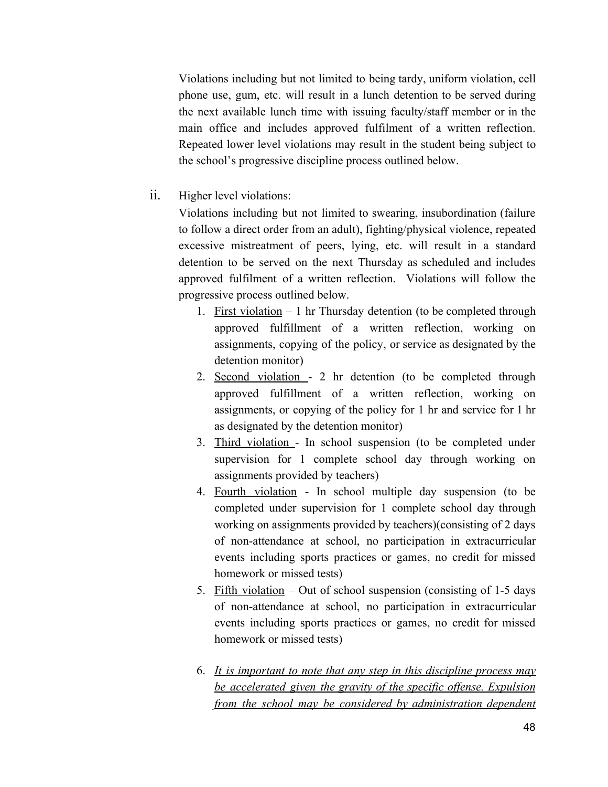Violations including but not limited to being tardy, uniform violation, cell phone use, gum, etc. will result in a lunch detention to be served during the next available lunch time with issuing faculty/staff member or in the main office and includes approved fulfilment of a written reflection. Repeated lower level violations may result in the student being subject to the school's progressive discipline process outlined below.

ii. Higher level violations:

Violations including but not limited to swearing, insubordination (failure to follow a direct order from an adult), fighting/physical violence, repeated excessive mistreatment of peers, lying, etc. will result in a standard detention to be served on the next Thursday as scheduled and includes approved fulfilment of a written reflection. Violations will follow the progressive process outlined below.

- 1. First violation  $-1$  hr Thursday detention (to be completed through approved fulfillment of a written reflection, working on assignments, copying of the policy, or service as designated by the detention monitor)
- 2. Second violation 2 hr detention (to be completed through approved fulfillment of a written reflection, working on assignments, or copying of the policy for 1 hr and service for 1 hr as designated by the detention monitor)
- 3. Third violation In school suspension (to be completed under supervision for 1 complete school day through working on assignments provided by teachers)
- 4. Fourth violation In school multiple day suspension (to be completed under supervision for 1 complete school day through working on assignments provided by teachers)(consisting of 2 days of non-attendance at school, no participation in extracurricular events including sports practices or games, no credit for missed homework or missed tests)
- 5. Fifth violation Out of school suspension (consisting of 1-5 days of non-attendance at school, no participation in extracurricular events including sports practices or games, no credit for missed homework or missed tests)
- 6. *It is important to note that any step in this discipline process may be accelerated given the gravity of the specific offense. Expulsion from the school may be considered by administration dependent*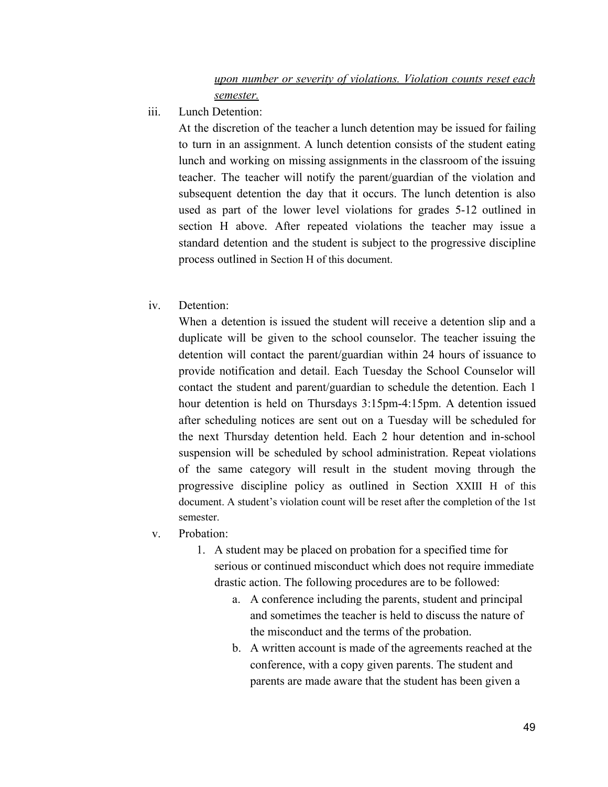iii. Lunch Detention:

At the discretion of the teacher a lunch detention may be issued for failing to turn in an assignment. A lunch detention consists of the student eating lunch and working on missing assignments in the classroom of the issuing teacher. The teacher will notify the parent/guardian of the violation and subsequent detention the day that it occurs. The lunch detention is also used as part of the lower level violations for grades 5-12 outlined in section H above. After repeated violations the teacher may issue a standard detention and the student is subject to the progressive discipline process outlined in Section H of this document.

iv. Detention:

When a detention is issued the student will receive a detention slip and a duplicate will be given to the school counselor. The teacher issuing the detention will contact the parent/guardian within 24 hours of issuance to provide notification and detail. Each Tuesday the School Counselor will contact the student and parent/guardian to schedule the detention. Each 1 hour detention is held on Thursdays 3:15pm-4:15pm. A detention issued after scheduling notices are sent out on a Tuesday will be scheduled for the next Thursday detention held. Each 2 hour detention and in-school suspension will be scheduled by school administration. Repeat violations of the same category will result in the student moving through the progressive discipline policy as outlined in Section XXIII H of this document. A student's violation count will be reset after the completion of the 1st semester.

- v. Probation:
	- 1. A student may be placed on probation for a specified time for serious or continued misconduct which does not require immediate drastic action. The following procedures are to be followed:
		- a. A conference including the parents, student and principal and sometimes the teacher is held to discuss the nature of the misconduct and the terms of the probation.
		- b. A written account is made of the agreements reached at the conference, with a copy given parents. The student and parents are made aware that the student has been given a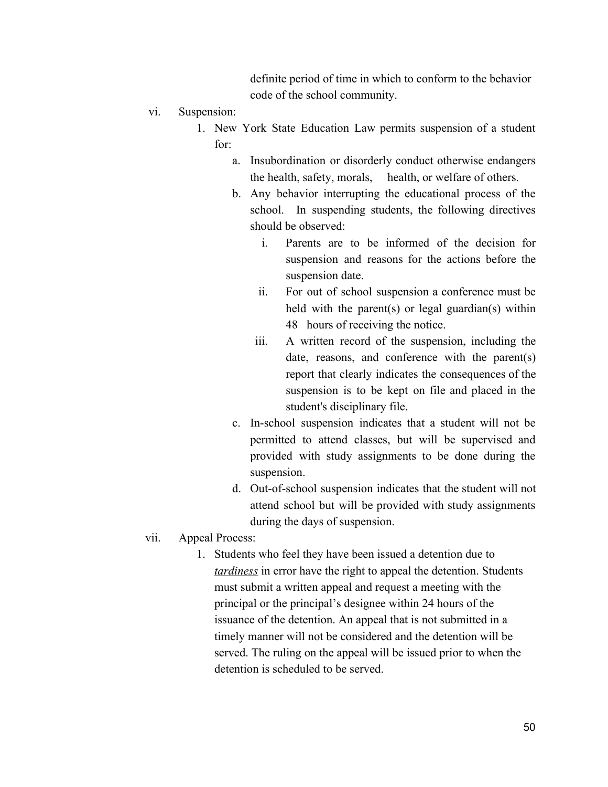definite period of time in which to conform to the behavior code of the school community.

- vi. Suspension:
	- 1. New York State Education Law permits suspension of a student for:
		- a. Insubordination or disorderly conduct otherwise endangers the health, safety, morals, health, or welfare of others.
		- b. Any behavior interrupting the educational process of the school. In suspending students, the following directives should be observed:
			- i. Parents are to be informed of the decision for suspension and reasons for the actions before the suspension date.
			- ii. For out of school suspension a conference must be held with the parent(s) or legal guardian(s) within 48 hours of receiving the notice.
			- iii. A written record of the suspension, including the date, reasons, and conference with the parent(s) report that clearly indicates the consequences of the suspension is to be kept on file and placed in the student's disciplinary file.
		- c. In-school suspension indicates that a student will not be permitted to attend classes, but will be supervised and provided with study assignments to be done during the suspension.
		- d. Out-of-school suspension indicates that the student will not attend school but will be provided with study assignments during the days of suspension.
- vii. Appeal Process:
	- 1. Students who feel they have been issued a detention due to *tardiness* in error have the right to appeal the detention. Students must submit a written appeal and request a meeting with the principal or the principal's designee within 24 hours of the issuance of the detention. An appeal that is not submitted in a timely manner will not be considered and the detention will be served. The ruling on the appeal will be issued prior to when the detention is scheduled to be served.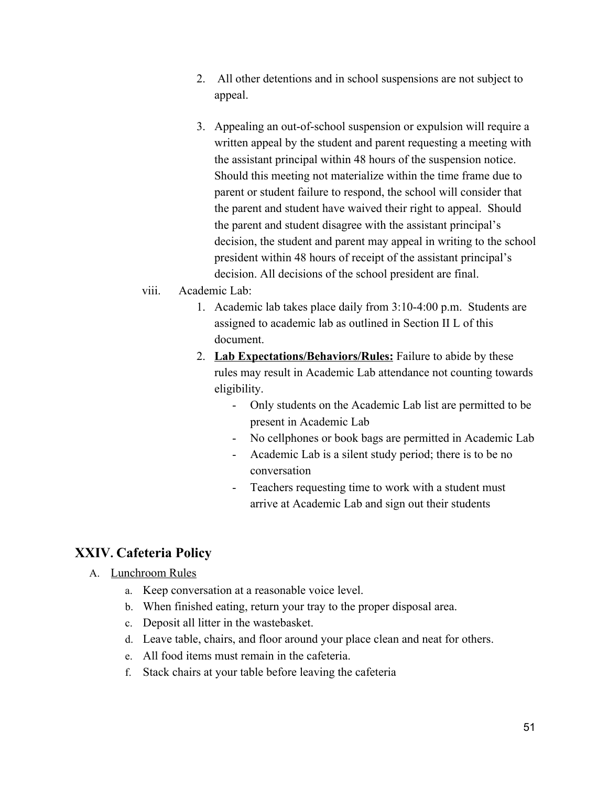- 2. All other detentions and in school suspensions are not subject to appeal.
- 3. Appealing an out-of-school suspension or expulsion will require a written appeal by the student and parent requesting a meeting with the assistant principal within 48 hours of the suspension notice. Should this meeting not materialize within the time frame due to parent or student failure to respond, the school will consider that the parent and student have waived their right to appeal. Should the parent and student disagree with the assistant principal's decision, the student and parent may appeal in writing to the school president within 48 hours of receipt of the assistant principal's decision. All decisions of the school president are final.

#### viii. Academic Lab:

- 1. Academic lab takes place daily from 3:10-4:00 p.m. Students are assigned to academic lab as outlined in Section II L of this document.
- 2. **Lab Expectations/Behaviors/Rules:** Failure to abide by these rules may result in Academic Lab attendance not counting towards eligibility.
	- Only students on the Academic Lab list are permitted to be present in Academic Lab
	- No cellphones or book bags are permitted in Academic Lab
	- Academic Lab is a silent study period; there is to be no conversation
	- Teachers requesting time to work with a student must arrive at Academic Lab and sign out their students

#### **XXIV. Cafeteria Policy**

- A. Lunchroom Rules
	- a. Keep conversation at a reasonable voice level.
	- b. When finished eating, return your tray to the proper disposal area.
	- c. Deposit all litter in the wastebasket.
	- d. Leave table, chairs, and floor around your place clean and neat for others.
	- e. All food items must remain in the cafeteria.
	- f. Stack chairs at your table before leaving the cafeteria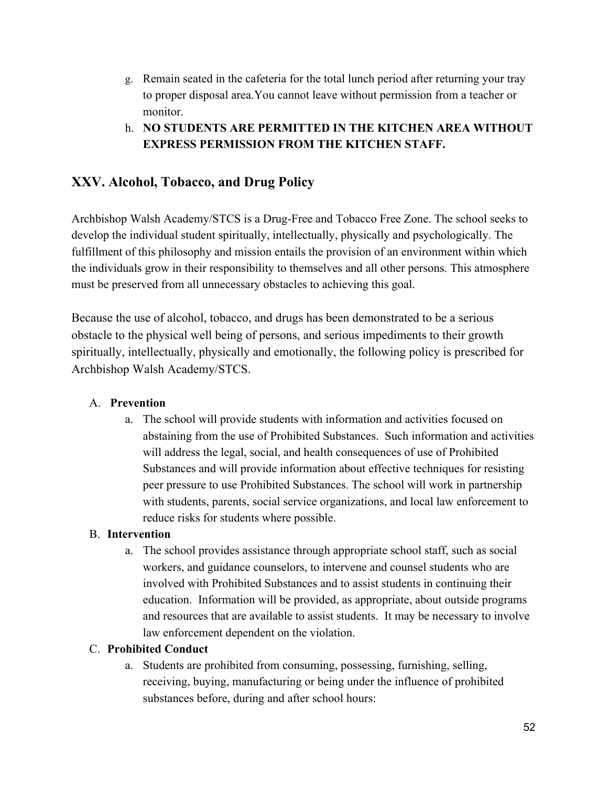- g. Remain seated in the cafeteria for the total lunch period after returning your tray to proper disposal area.You cannot leave without permission from a teacher or monitor.
- h. **NO STUDENTS ARE PERMITTED IN THE KITCHEN AREA WITHOUT EXPRESS PERMISSION FROM THE KITCHEN STAFF.**

## **XXV. Alcohol, Tobacco, and Drug Policy**

Archbishop Walsh Academy/STCS is a Drug-Free and Tobacco Free Zone. The school seeks to develop the individual student spiritually, intellectually, physically and psychologically. The fulfillment of this philosophy and mission entails the provision of an environment within which the individuals grow in their responsibility to themselves and all other persons. This atmosphere must be preserved from all unnecessary obstacles to achieving this goal.

Because the use of alcohol, tobacco, and drugs has been demonstrated to be a serious obstacle to the physical well being of persons, and serious impediments to their growth spiritually, intellectually, physically and emotionally, the following policy is prescribed for Archbishop Walsh Academy/STCS.

#### A. **Prevention**

a. The school will provide students with information and activities focused on abstaining from the use of Prohibited Substances. Such information and activities will address the legal, social, and health consequences of use of Prohibited Substances and will provide information about effective techniques for resisting peer pressure to use Prohibited Substances. The school will work in partnership with students, parents, social service organizations, and local law enforcement to reduce risks for students where possible.

#### B. **Intervention**

a. The school provides assistance through appropriate school staff, such as social workers, and guidance counselors, to intervene and counsel students who are involved with Prohibited Substances and to assist students in continuing their education. Information will be provided, as appropriate, about outside programs and resources that are available to assist students. It may be necessary to involve law enforcement dependent on the violation.

#### C. **Prohibited Conduct**

a. Students are prohibited from consuming, possessing, furnishing, selling, receiving, buying, manufacturing or being under the influence of prohibited substances before, during and after school hours: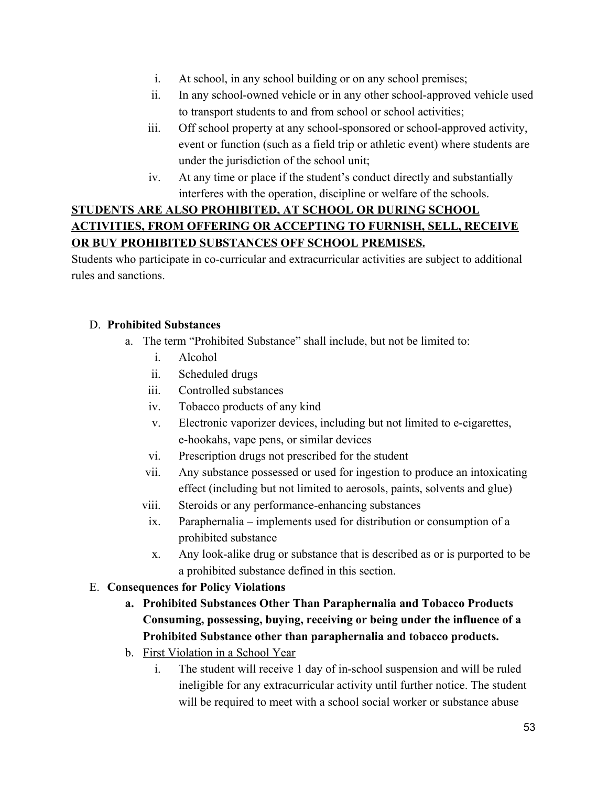- i. At school, in any school building or on any school premises;
- ii. In any school-owned vehicle or in any other school-approved vehicle used to transport students to and from school or school activities;
- iii. Off school property at any school-sponsored or school-approved activity, event or function (such as a field trip or athletic event) where students are under the jurisdiction of the school unit;
- iv. At any time or place if the student's conduct directly and substantially interferes with the operation, discipline or welfare of the schools.

## **STUDENTS ARE ALSO PROHIBITED, AT SCHOOL OR DURING SCHOOL ACTIVITIES, FROM OFFERING OR ACCEPTING TO FURNISH, SELL, RECEIVE OR BUY PROHIBITED SUBSTANCES OFF SCHOOL PREMISES.**

Students who participate in co-curricular and extracurricular activities are subject to additional rules and sanctions.

#### D. **Prohibited Substances**

- a. The term "Prohibited Substance" shall include, but not be limited to:
	- i. Alcohol
	- ii. Scheduled drugs
	- iii. Controlled substances
	- iv. Tobacco products of any kind
	- v. Electronic vaporizer devices, including but not limited to e-cigarettes, e-hookahs, vape pens, or similar devices
	- vi. Prescription drugs not prescribed for the student
	- vii. Any substance possessed or used for ingestion to produce an intoxicating effect (including but not limited to aerosols, paints, solvents and glue)
	- viii. Steroids or any performance-enhancing substances
	- ix. Paraphernalia implements used for distribution or consumption of a prohibited substance
	- x. Any look-alike drug or substance that is described as or is purported to be a prohibited substance defined in this section.
- E. **Consequences for Policy Violations**
	- **a. Prohibited Substances Other Than Paraphernalia and Tobacco Products Consuming, possessing, buying, receiving or being under the influence of a Prohibited Substance other than paraphernalia and tobacco products.**
	- b. First Violation in a School Year
		- i. The student will receive 1 day of in-school suspension and will be ruled ineligible for any extracurricular activity until further notice. The student will be required to meet with a school social worker or substance abuse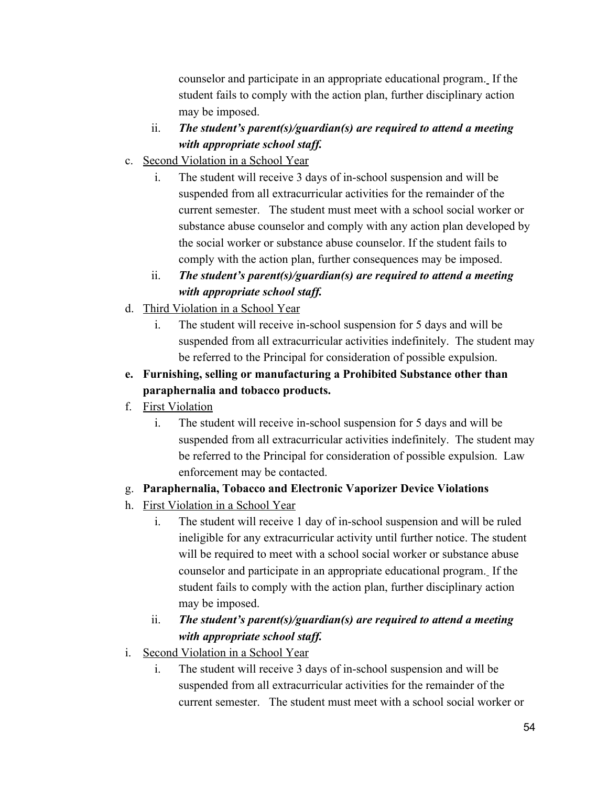counselor and participate in an appropriate educational program. If the student fails to comply with the action plan, further disciplinary action may be imposed.

- ii. *The student's parent(s)/guardian(s) are required to attend a meeting with appropriate school staff.*
- c. Second Violation in a School Year
	- i. The student will receive 3 days of in-school suspension and will be suspended from all extracurricular activities for the remainder of the current semester. The student must meet with a school social worker or substance abuse counselor and comply with any action plan developed by the social worker or substance abuse counselor. If the student fails to comply with the action plan, further consequences may be imposed.
	- ii. *The student's parent(s)/guardian(s) are required to attend a meeting with appropriate school staff.*
- d. Third Violation in a School Year
	- i. The student will receive in-school suspension for 5 days and will be suspended from all extracurricular activities indefinitely. The student may be referred to the Principal for consideration of possible expulsion.
- **e. Furnishing, selling or manufacturing a Prohibited Substance other than paraphernalia and tobacco products.**
- f. First Violation
	- i. The student will receive in-school suspension for 5 days and will be suspended from all extracurricular activities indefinitely. The student may be referred to the Principal for consideration of possible expulsion. Law enforcement may be contacted.
- g. **Paraphernalia, Tobacco and Electronic Vaporizer Device Violations**
- h. First Violation in a School Year
	- i. The student will receive 1 day of in-school suspension and will be ruled ineligible for any extracurricular activity until further notice. The student will be required to meet with a school social worker or substance abuse counselor and participate in an appropriate educational program. If the student fails to comply with the action plan, further disciplinary action may be imposed.
	- ii. *The student's parent(s)/guardian(s) are required to attend a meeting with appropriate school staff.*
- i. Second Violation in a School Year
	- i. The student will receive 3 days of in-school suspension and will be suspended from all extracurricular activities for the remainder of the current semester. The student must meet with a school social worker or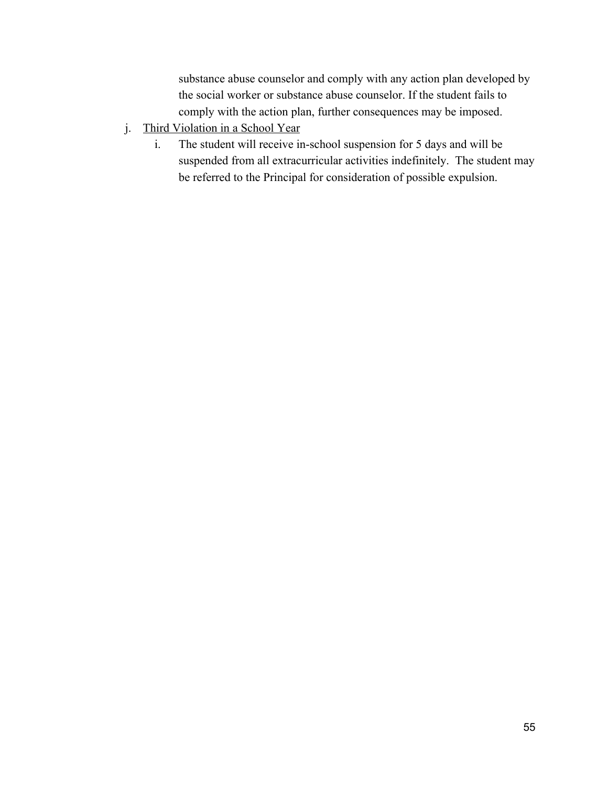substance abuse counselor and comply with any action plan developed by the social worker or substance abuse counselor. If the student fails to comply with the action plan, further consequences may be imposed.

- j. Third Violation in a School Year
	- i. The student will receive in-school suspension for 5 days and will be suspended from all extracurricular activities indefinitely. The student may be referred to the Principal for consideration of possible expulsion.